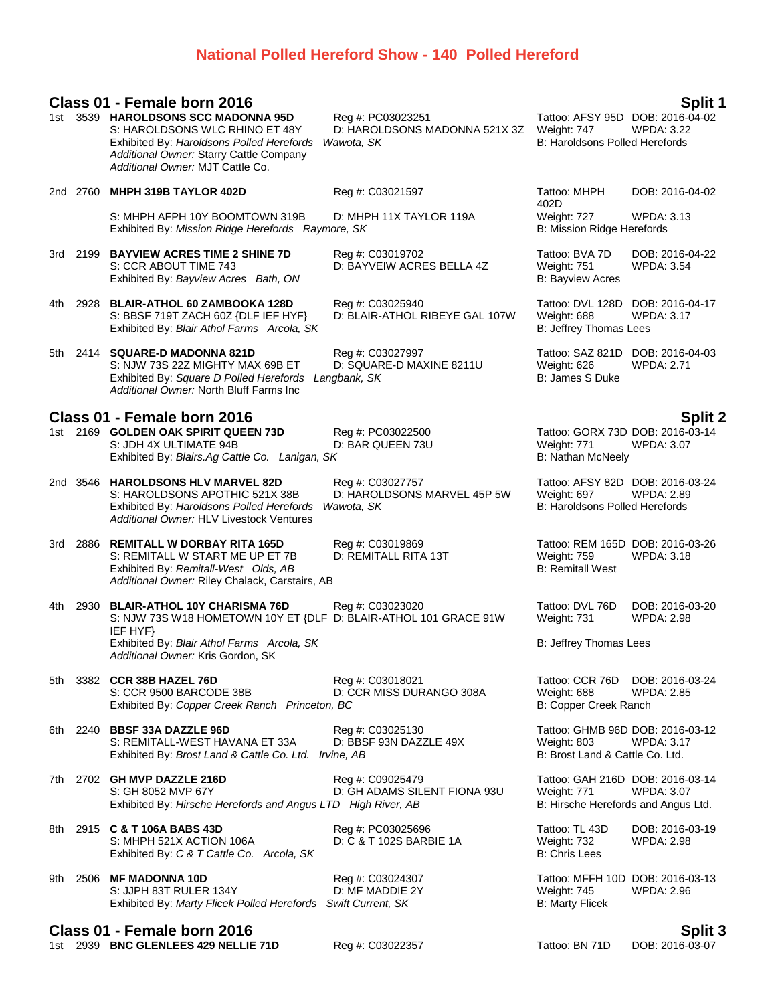# **National Polled Hereford Show - 140 Polled Hereford**

|     |          | Class 01 - Female born 2016                                                                                                                                                                       |                                                                  |                                                                                          | Split 1                              |
|-----|----------|---------------------------------------------------------------------------------------------------------------------------------------------------------------------------------------------------|------------------------------------------------------------------|------------------------------------------------------------------------------------------|--------------------------------------|
|     |          | 1st 3539 HAROLDSONS SCC MADONNA 95D<br>S: HAROLDSONS WLC RHINO ET 48Y<br>Exhibited By: Haroldsons Polled Herefords<br>Additional Owner: Starry Cattle Company<br>Additional Owner: MJT Cattle Co. | Reg #: PC03023251<br>D: HAROLDSONS MADONNA 521X 3Z<br>Wawota, SK | Tattoo: AFSY 95D DOB: 2016-04-02<br>Weight: 747<br><b>B: Haroldsons Polled Herefords</b> | <b>WPDA: 3.22</b>                    |
|     |          | 2nd 2760 MHPH 319B TAYLOR 402D                                                                                                                                                                    | Reg #: C03021597                                                 | Tattoo: MHPH<br>402D                                                                     | DOB: 2016-04-02                      |
|     |          | S: MHPH AFPH 10Y BOOMTOWN 319B<br>Exhibited By: Mission Ridge Herefords Raymore, SK                                                                                                               | D: MHPH 11X TAYLOR 119A                                          | Weight: 727<br>B: Mission Ridge Herefords                                                | <b>WPDA: 3.13</b>                    |
|     |          | 3rd 2199 BAYVIEW ACRES TIME 2 SHINE 7D<br>S: CCR ABOUT TIME 743<br>Exhibited By: Bayview Acres Bath, ON                                                                                           | Reg #: C03019702<br>D: BAYVEIW ACRES BELLA 4Z                    | Tattoo: BVA 7D<br>Weight: 751<br><b>B: Bayview Acres</b>                                 | DOB: 2016-04-22<br><b>WPDA: 3.54</b> |
| 4th |          | 2928 BLAIR-ATHOL 60 ZAMBOOKA 128D<br>S: BBSF 719T ZACH 60Z {DLF IEF HYF}<br>Exhibited By: Blair Athol Farms Arcola, SK                                                                            | Reg #: C03025940<br>D: BLAIR-ATHOL RIBEYE GAL 107W               | Tattoo: DVL 128D DOB: 2016-04-17<br>Weight: 688<br>B: Jeffrey Thomas Lees                | <b>WPDA: 3.17</b>                    |
| 5th |          | 2414 SQUARE-D MADONNA 821D<br>S: NJW 73S 22Z MIGHTY MAX 69B ET<br>Exhibited By: Square D Polled Herefords<br>Additional Owner: North Bluff Farms Inc                                              | Reg #: C03027997<br>D: SQUARE-D MAXINE 8211U<br>Langbank, SK     | Tattoo: SAZ 821D<br>Weight: 626<br><b>B: James S Duke</b>                                | DOB: 2016-04-03<br><b>WPDA: 2.71</b> |
|     |          | Class 01 - Female born 2016                                                                                                                                                                       |                                                                  |                                                                                          |                                      |
|     |          | 1st 2169 GOLDEN OAK SPIRIT QUEEN 73D<br>S: JDH 4X ULTIMATE 94B<br>Exhibited By: Blairs.Ag Cattle Co. Lanigan, SK                                                                                  | Reg #: PC03022500<br>D: BAR QUEEN 73U                            | Tattoo: GORX 73D DOB: 2016-03-14<br>Weight: 771<br><b>B: Nathan McNeely</b>              | <b>Split 2</b><br>WPDA: 3.07         |
|     |          | 2nd 3546 HAROLDSONS HLV MARVEL 82D<br>S: HAROLDSONS APOTHIC 521X 38B<br>Exhibited By: Haroldsons Polled Herefords<br>Additional Owner: HLV Livestock Ventures                                     | Reg #: C03027757<br>D: HAROLDSONS MARVEL 45P 5W<br>Wawota, SK    | Tattoo: AFSY 82D DOB: 2016-03-24<br>Weight: 697<br><b>B: Haroldsons Polled Herefords</b> | <b>WPDA: 2.89</b>                    |
|     | 3rd 2886 | <b>REMITALL W DORBAY RITA 165D</b><br>S: REMITALL W START ME UP ET 7B<br>Exhibited By: Remitall-West Olds, AB<br>Additional Owner: Riley Chalack, Carstairs, AB                                   | Reg #: C03019869<br>D: REMITALL RITA 13T                         | Tattoo: REM 165D DOB: 2016-03-26<br>Weight: 759<br><b>B: Remitall West</b>               | <b>WPDA: 3.18</b>                    |
| 4th |          | 2930 BLAIR-ATHOL 10Y CHARISMA 76D<br>S: NJW 73S W18 HOMETOWN 10Y ET {DLF D: BLAIR-ATHOL 101 GRACE 91W<br>IEF HYF}                                                                                 | Reg #: C03023020                                                 | Tattoo: DVL 76D<br>Weight: 731                                                           | DOB: 2016-03-20<br><b>WPDA: 2.98</b> |
|     |          | Exhibited By: Blair Athol Farms Arcola, SK<br>Additional Owner: Kris Gordon, SK                                                                                                                   |                                                                  | B: Jeffrey Thomas Lees                                                                   |                                      |
| 5th |          | 3382 CCR 38B HAZEL 76D<br>S: CCR 9500 BARCODE 38B<br>Exhibited By: Copper Creek Ranch Princeton, BC                                                                                               | Reg #: C03018021<br>D: CCR MISS DURANGO 308A                     | Tattoo: CCR 76D<br>Weight: 688<br>B: Copper Creek Ranch                                  | DOB: 2016-03-24<br><b>WPDA: 2.85</b> |
| 6th |          | 2240 BBSF 33A DAZZLE 96D<br>S: REMITALL-WEST HAVANA ET 33A<br>Exhibited By: Brost Land & Cattle Co. Ltd. Irvine, AB                                                                               | Reg #: C03025130<br>D: BBSF 93N DAZZLE 49X                       | Tattoo: GHMB 96D DOB: 2016-03-12<br>Weight: 803<br>B: Brost Land & Cattle Co. Ltd.       | WPDA: 3.17                           |
| 7th |          | 2702 GH MVP DAZZLE 216D<br>S: GH 8052 MVP 67Y<br>Exhibited By: Hirsche Herefords and Angus LTD High River, AB                                                                                     | Reg #: C09025479<br>D: GH ADAMS SILENT FIONA 93U                 | Tattoo: GAH 216D DOB: 2016-03-14<br>Weight: 771<br>B: Hirsche Herefords and Angus Ltd.   | <b>WPDA: 3.07</b>                    |
| 8th |          | 2915 C & T 106A BABS 43D<br>S: MHPH 521X ACTION 106A<br>Exhibited By: C & T Cattle Co. Arcola, SK                                                                                                 | Reg #: PC03025696<br>D: C & T 102S BARBIE 1A                     | Tattoo: TL 43D<br>Weight: 732<br><b>B: Chris Lees</b>                                    | DOB: 2016-03-19<br><b>WPDA: 2.98</b> |
| 9th |          | 2506 MF MADONNA 10D<br>S: JJPH 83T RULER 134Y<br>Exhibited By: Marty Flicek Polled Herefords Swift Current, SK                                                                                    | Reg #: C03024307<br>D: MF MADDIE 2Y                              | Tattoo: MFFH 10D DOB: 2016-03-13<br>Weight: 745<br><b>B: Marty Flicek</b>                | WPDA: 2.96                           |
|     |          |                                                                                                                                                                                                   |                                                                  |                                                                                          |                                      |

**Class 01 - Female born 2016 Split 3**<br>1st 2939 **BNC GLENLEES 429 NELLIE 71D Reg #: C03022357 Split 3 Tattoo: BN 71D DOB: 2016-03-07** 

1st 2939 **BNC GLENLEES 429 NELLIE 71D**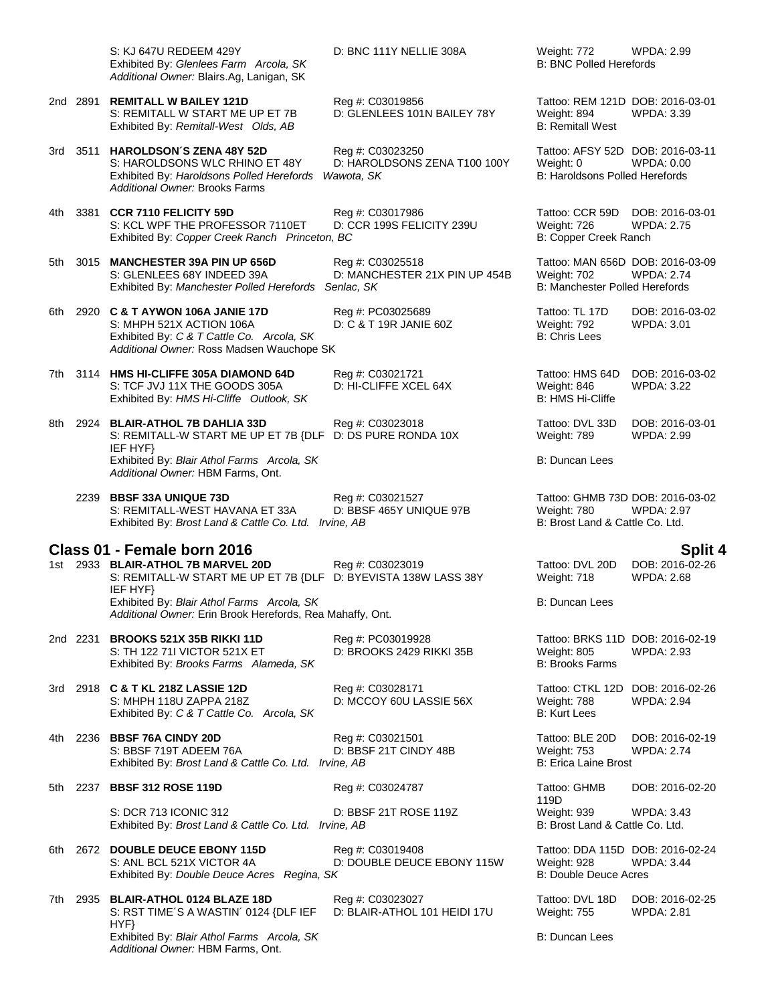S: KJ 647U REDEEM 429Y D: BNC 111Y NELLIE 308A Weight: 772 WPDA: 2.99<br>Exhibited By: Glenlees Farm Arcola, SK B: BNC Polled Herefords Exhibited By: Glenlees Farm Arcola, SK *Additional Owner:* Blairs.Ag, Lanigan, SK

S: REMITALL W START ME UP ET 7B D: GLENLEES 101N BAILEY 78Y Weight: 894 WPDA: 3.39 Exhibited By: *Remitall-West Olds, AB* B: Remitall West Order, AB B: Remitall West

3rd 3511 **HAROLDSON´S ZENA 48Y 52D** Reg #: C03023250 Tattoo: AFSY 52D DOB: 2016-03-11 S: HAROLDSONS WLC RHINO ET 48Y D: HAROLDSONS ZENA T100 100Y Weight: 0 WPDA: 0.00<br>Exhibited By: *Haroldsons Polled Herefords Wawota. SK* B: Haroldsons Polled Herefords Exhibited By: *Haroldsons Polled Herefords Wawota, SK Additional Owner:* Brooks Farms

4th 3381 **CCR 7110 FELICITY 59D** Reg #: C03017986 Tattoo: CCR 59D DOB: 2016-03-01<br>S: KCL WPF THE PROFESSOR 7110ET D: CCR 199S FELICITY 239U Weight: 726 WPDA: 2.75 S: KCL WPF THE PROFESSOR 7110ET Exhibited By: *Copper Creek Ranch Princeton, BC* B: Copper Creek Ranch

5th 3015 **MANCHESTER 39A PIN UP 656D** Reg #: C03025518 Tattoo: MAN 656D DOB: 2016-03-09 Exhibited By: Manchester Polled Herefords Senlac, SK

6th 2920 **C & T AYWON 106A JANIE 17D** Reg #: PC03025689 Tattoo: TL 17D DOB: 2016-03-02 S: MHPH 521X ACTION 106A D: C & T 19R JANIE 60Z Weight: 792 WPDA: 3.01<br>
Exhibited Bv: C & T Cattle Co. Arcola. SK B: Chris Lees B: Chris Lees Exhibited By: C & T Cattle Co. Arcola, SK *Additional Owner:* Ross Madsen Wauchope SK

7th 3114 **HMS HI-CLIFFE 305A DIAMOND 64D** Reg #: C03021721 Tattoo: HMS 64D DOB: 2016-03-02 S: TCF JVJ 11X THE GOODS 305A D: HI-CLIFFE XCEL 64X Weight: 846<br>Exhibited By: HMS Hi-Cliffe Outlook. SK B: HMS Hi-Cliffe Exhibited By: HMS Hi-Cliffe Outlook, SK

8th 2924 **BLAIR-ATHOL 7B DAHLIA 33D** Reg #: C03023018 Tattoo: DVL 33D DOB: 2016-03-01<br>S: REMITALL-W START ME UP ET 7B {DLF D: DS PURE RONDA 10X Weight: 789 WPDA: 2.99 S: REMITALL-W START ME UP ET 7B {DLF IEF HYF} Exhibited By: *Blair Athol Farms Arcola, SK* B: Duncan Lees *Additional Owner:* HBM Farms, Ont.

2239 **BBSF 33A UNIQUE 73D** Reg #: C03021527 Tattoo: GHMB 73D DOB: 2016-03-02 S: REMITALL-WEST HAVANA ET 33A D: BBSF 465Y UNIQUE 97B Weight: 780 Exhibited By: *Brost Land & Cattle Co. Ltd. Irvine, AB* B: Brost Land & Cattle Co. Ltd.

**Class 01 - Female born 2016 Split 4** 1st 2933 **BLAIR-ATHOL 7B MARVEL 20D** Reg #: C03023019 Tattoo: DVL 20D DOB: 2016-0<br>S: REMITALL-W START ME UP ET 7B {DLF D: BYEVISTA 138W LASS 38Y Weight: 718 WPDA: 2.68 S: REMITALL-W START ME UP ET 7B {DLF D: BYEVISTA 138W LASS 38Y Weight: 718 WPDA: 2.68 IEF HYF} Exhibited By: *Blair Athol Farms Arcola, SK* B: Duncan Lees *Additional Owner:* Erin Brook Herefords, Rea Mahaffy, Ont.

2nd 2231 **BROOKS 521X 35B RIKKI 11D**<br>S: TH 122 71I VICTOR 521X ET **D: BROOKS 2429 RIKKI 35B** Weight: 805 WPDA: 2.93 S: TH 122 71I VICTOR 521X ET **D: BROOKS 2429 RIKKI 35B** Weight: 805<br>Exhibited By: *Brooks Farms Alameda. SK* B: 2.933 B: 2.933 B: 2.933 B: 2.933 B: 2.933 B: 2.933 B: 2.933 B: 2.93 Exhibited By: Brooks Farms Alameda, SK

3rd 2918 **C & T KL 218Z LASSIE 12D** Reg #: C03028171 Tattoo: CTKL 12D DOB: 2016-02-26 S: MHPH 118U ZAPPA 218Z D: MCCOY 60U LASSIE 56X Weight: 788 WPDA: 2.94 Exhibited By: C & T Cattle Co. Arcola, SK

4th 2236 **BBSF 76A CINDY 20D** Reg #: C03021501 Tattoo: BLE 20D DOB: 2016-02-19<br>S: BBSF 719T ADEEM 76A D: BBSF 21T CINDY 48B Weight: 753 WPDA: 2.74 S: BBSF 719T ADEEM 76A D: BBSF 21T CINDY 48B Weight: 753 Exhibited By: *Brost Land & Cattle Co. Ltd. Irvine, AB* B: Erica Laine Brost B: Erica Laine Brost

5th 2237 **BBSF 312 ROSE 119D** Reg #: C03024787 Tattoo: GHMB

D: BLAIR-ATHOL 101 HEIDI 17U

S: DCR 713 ICONIC 312 D: BBSF 21T ROSE 119Z Weight: 939 WPDA: 3.43 Exhibited By: *Brost Land & Cattle Co. Ltd. Irvine, AB* B: Brost Land & Cattle Co. Ltd.

6th 2672 **DOUBLE DEUCE EBONY 115D**<br>S: ANL BCL 521X VICTOR 4A D: DOUBLE DEUCE EBONY 115W Weight: 928 WPDA: 3.44 Exhibited By: *Double Deuce Acres Regina, SK* 

7th 2935 **BLAIR-ATHOL 0124 BLAZE 18D** Reg #: C03023027 Tattoo: DVL 18D DOB: 2016-02-25 S: RST TIME´S A WASTIN´ 0124 {DLF IEF HYF} Exhibited By: *Blair Athol Farms Arcola, SK* B: Duncan Lees *Additional Owner:* HBM Farms, Ont.

D: MANCHESTER 21X PIN UP 454B Weight: 702 WPDA: 2.74<br>enlac, SK B: Manchester Polled Herefords

D: DS PURE RONDA 10X

2nd 2891 **REMITALL W BAILEY 121D** Reg #: C03019856 Tattoo: REM 121D DOB: 2016-03-01

119D DOB: 2016-02-20

D: DOUBLE DEUCE EBONY 115W Weight: 928 WPDA: 3.44<br>K<br>B: Double Deuce Acres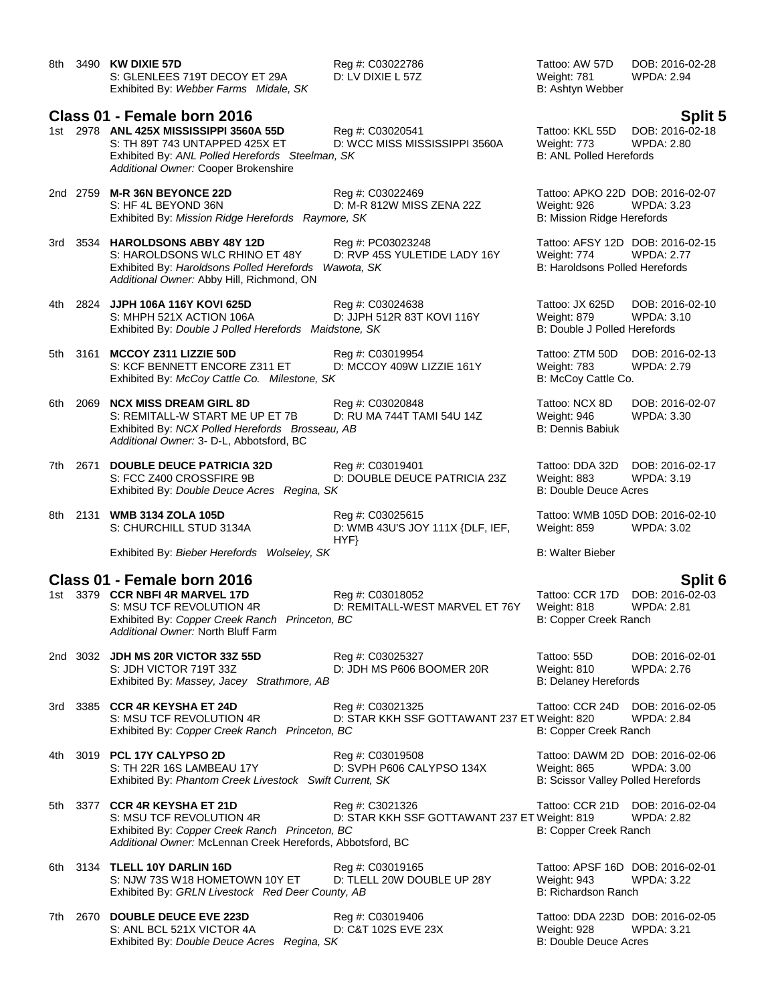| 8th  |          | 3490 KW DIXIE 57D<br>S: GLENLEES 719T DECOY ET 29A<br>Exhibited By: Webber Farms Midale, SK                                                                                        | Reg #: C03022786<br>D: LV DIXIE L 57Z                            | Tattoo: AW 57D<br>Weight: 781<br>B: Ashtyn Webber                                        | DOB: 2016-02-28<br><b>WPDA: 2.94</b> |
|------|----------|------------------------------------------------------------------------------------------------------------------------------------------------------------------------------------|------------------------------------------------------------------|------------------------------------------------------------------------------------------|--------------------------------------|
|      |          | Class 01 - Female born 2016                                                                                                                                                        |                                                                  |                                                                                          | <b>Split 5</b>                       |
|      |          | 1st 2978 ANL 425X MISSISSIPPI 3560A 55D<br>S: TH 89T 743 UNTAPPED 425X ET<br>Exhibited By: ANL Polled Herefords Steelman, SK<br>Additional Owner: Cooper Brokenshire               | Reg #: C03020541<br>D: WCC MISS MISSISSIPPI 3560A                | Tattoo: KKL 55D<br>Weight: 773<br><b>B: ANL Polled Herefords</b>                         | DOB: 2016-02-18<br><b>WPDA: 2.80</b> |
|      |          | 2nd 2759 M-R 36N BEYONCE 22D<br>S: HF 4L BEYOND 36N<br>Exhibited By: Mission Ridge Herefords Raymore, SK                                                                           | Reg #: C03022469<br>D: M-R 812W MISS ZENA 22Z                    | Tattoo: APKO 22D DOB: 2016-02-07<br>Weight: 926<br>B: Mission Ridge Herefords            | <b>WPDA: 3.23</b>                    |
| 3rd  |          | 3534 HAROLDSONS ABBY 48Y 12D<br>S: HAROLDSONS WLC RHINO ET 48Y<br>Exhibited By: Haroldsons Polled Herefords<br>Additional Owner: Abby Hill, Richmond, ON                           | Reg #: PC03023248<br>D: RVP 45S YULETIDE LADY 16Y<br>Wawota, SK  | Tattoo: AFSY 12D DOB: 2016-02-15<br>Weight: 774<br><b>B: Haroldsons Polled Herefords</b> | <b>WPDA: 2.77</b>                    |
|      |          | 4th 2824 JJPH 106A 116Y KOVI 625D<br>S: MHPH 521X ACTION 106A<br>Exhibited By: Double J Polled Herefords Maidstone, SK                                                             | Reg #: C03024638<br>D: JJPH 512R 83T KOVI 116Y                   | Tattoo: JX 625D<br>Weight: 879<br>B: Double J Polled Herefords                           | DOB: 2016-02-10<br><b>WPDA: 3.10</b> |
| 5th  |          | 3161 MCCOY Z311 LIZZIE 50D<br>S: KCF BENNETT ENCORE Z311 ET<br>Exhibited By: McCoy Cattle Co. Milestone, SK                                                                        | Reg #: C03019954<br>D: MCCOY 409W LIZZIE 161Y                    | Tattoo: ZTM 50D<br>Weight: 783<br>B: McCoy Cattle Co.                                    | DOB: 2016-02-13<br><b>WPDA: 2.79</b> |
| 6th. | 2069     | <b>NCX MISS DREAM GIRL 8D</b><br>S: REMITALL-W START ME UP ET 7B<br>Exhibited By: NCX Polled Herefords Brosseau, AB<br>Additional Owner: 3- D-L, Abbotsford, BC                    | Reg #: C03020848<br>D: RU MA 744T TAMI 54U 14Z                   | Tattoo: NCX 8D<br>Weight: 946<br>B: Dennis Babiuk                                        | DOB: 2016-02-07<br>WPDA: 3.30        |
|      | 7th 2671 | <b>DOUBLE DEUCE PATRICIA 32D</b><br>S: FCC Z400 CROSSFIRE 9B<br>Exhibited By: Double Deuce Acres Regina, SK                                                                        | Reg #: C03019401<br>D: DOUBLE DEUCE PATRICIA 23Z                 | Tattoo: DDA 32D<br>Weight: 883<br><b>B: Double Deuce Acres</b>                           | DOB: 2016-02-17<br>WPDA: 3.19        |
| 8th  | 2131     | <b>WMB 3134 ZOLA 105D</b><br>S: CHURCHILL STUD 3134A                                                                                                                               | Reg #: C03025615<br>D: WMB 43U'S JOY 111X {DLF, IEF,<br>HYP      | Tattoo: WMB 105D DOB: 2016-02-10<br>Weight: 859                                          | WPDA: 3.02                           |
|      |          | Exhibited By: Bieber Herefords Wolseley, SK                                                                                                                                        |                                                                  | <b>B: Walter Bieber</b>                                                                  |                                      |
|      |          | Class 01 - Female born 2016<br>1st 3379 CCR NBFI 4R MARVEL 17D<br>S: MSU TCF REVOLUTION 4R<br>Exhibited By: Copper Creek Ranch Princeton, BC<br>Additional Owner: North Bluff Farm | Reg #: C03018052<br>D: REMITALL-WEST MARVEL ET 76Y               | Tattoo: CCR 17D DOB: 2016-02-03<br>Weight: 818<br>B: Copper Creek Ranch                  | <b>Split 6</b><br><b>WPDA: 2.81</b>  |
|      |          | 2nd 3032 JDH MS 20R VICTOR 33Z 55D<br>S: JDH VICTOR 719T 33Z<br>Exhibited By: Massey, Jacey Strathmore, AB                                                                         | Reg #: C03025327<br>D: JDH MS P606 BOOMER 20R                    | Tattoo: 55D<br>Weight: 810<br><b>B: Delaney Herefords</b>                                | DOB: 2016-02-01<br>WPDA: 2.76        |
| 3rd  |          | 3385 CCR 4R KEYSHA ET 24D<br>S: MSU TCF REVOLUTION 4R<br>Exhibited By: Copper Creek Ranch Princeton, BC                                                                            | Reg #: C03021325<br>D: STAR KKH SSF GOTTAWANT 237 ET Weight: 820 | Tattoo: CCR 24D<br>B: Copper Creek Ranch                                                 | DOB: 2016-02-05<br><b>WPDA: 2.84</b> |
| 4th  |          | 3019 PCL 17Y CALYPSO 2D<br>S: TH 22R 16S LAMBEAU 17Y<br>Exhibited By: Phantom Creek Livestock Swift Current, SK                                                                    | Reg #: C03019508<br>D: SVPH P606 CALYPSO 134X                    | Tattoo: DAWM 2D DOB: 2016-02-06<br>Weight: 865<br>B: Scissor Valley Polled Herefords     | <b>WPDA: 3.00</b>                    |
| 5th. |          | 3377 CCR 4R KEYSHA ET 21D<br>S: MSU TCF REVOLUTION 4R<br>Exhibited By: Copper Creek Ranch Princeton, BC<br>Additional Owner: McLennan Creek Herefords, Abbotsford, BC              | Reg #: C3021326<br>D: STAR KKH SSF GOTTAWANT 237 ET Weight: 819  | Tattoo: CCR 21D<br>B: Copper Creek Ranch                                                 | DOB: 2016-02-04<br><b>WPDA: 2.82</b> |
|      |          | 6th 3134 TLELL 10Y DARLIN 16D<br>S: NJW 73S W18 HOMETOWN 10Y ET<br>Exhibited By: GRLN Livestock Red Deer County, AB                                                                | Reg #: C03019165<br>D: TLELL 20W DOUBLE UP 28Y                   | Tattoo: APSF 16D DOB: 2016-02-01<br>Weight: 943<br>B: Richardson Ranch                   | <b>WPDA: 3.22</b>                    |
|      |          | 7th 2670 DOUBLE DEUCE EVE 223D                                                                                                                                                     | Reg #: C03019406                                                 | Tattoo: DDA 223D DOB: 2016-02-05                                                         |                                      |

S: ANL BCL 521X VICTOR 4A<br>
S: ANL BCL 521X VICTOR 4A<br>
D: C&T 102S EVE 23X<br>
D: C&T 102S EVE 23X<br>
B: Double Deuce Acres<br>
B: Double Deuce Acres Exhibited By: *Double Deuce Acres Regina, SK*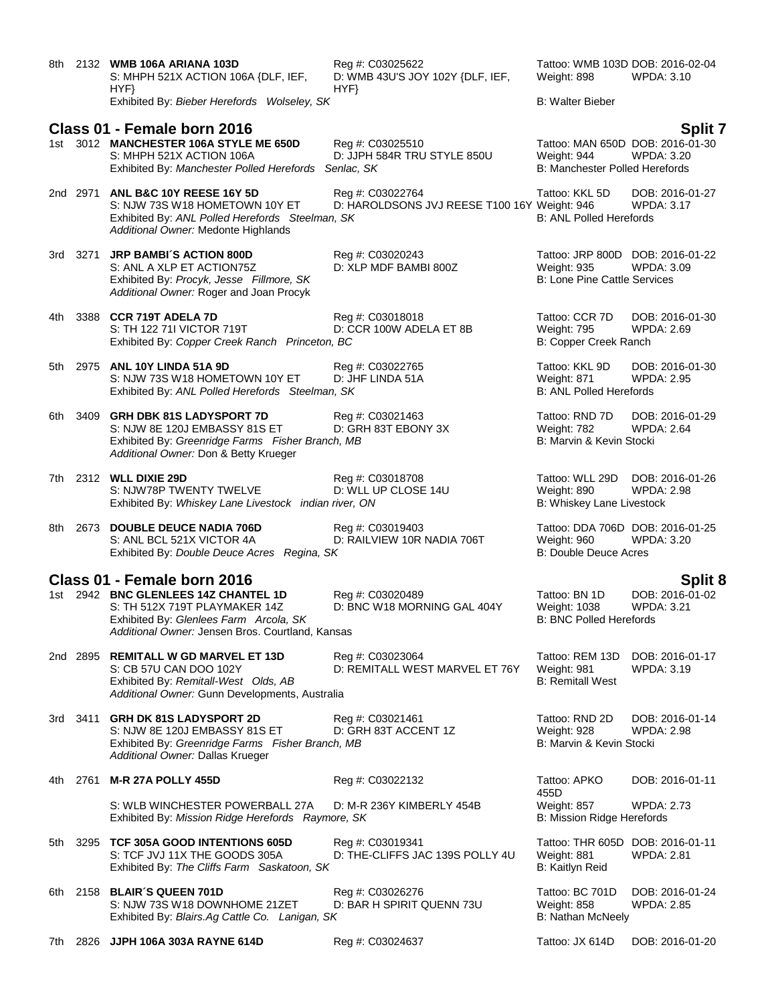| 8th  |          | 2132 WMB 106A ARIANA 103D<br>S: MHPH 521X ACTION 106A {DLF, IEF,<br>HYP                                                                                             | Reg #: C03025622<br>D: WMB 43U'S JOY 102Y {DLF, IEF,<br>HYP      | Tattoo: WMB 103D DOB: 2016-02-04<br>Weight: 898                                               | WPDA: 3.10                           |
|------|----------|---------------------------------------------------------------------------------------------------------------------------------------------------------------------|------------------------------------------------------------------|-----------------------------------------------------------------------------------------------|--------------------------------------|
|      |          | Exhibited By: Bieber Herefords Wolseley, SK                                                                                                                         |                                                                  | <b>B: Walter Bieber</b>                                                                       |                                      |
|      |          | Class 01 - Female born 2016                                                                                                                                         |                                                                  |                                                                                               | <b>Split 7</b>                       |
|      |          | 1st 3012 MANCHESTER 106A STYLE ME 650D<br>S: MHPH 521X ACTION 106A<br>Exhibited By: Manchester Polled Herefords Senlac, SK                                          | Reg #: C03025510<br>D: JJPH 584R TRU STYLE 850U                  | Tattoo: MAN 650D DOB: 2016-01-30<br>Weight: 944<br>B: Manchester Polled Herefords             | <b>WPDA: 3.20</b>                    |
|      | 2nd 2971 | ANL B&C 10Y REESE 16Y 5D<br>S: NJW 73S W18 HOMETOWN 10Y ET<br>Exhibited By: ANL Polled Herefords Steelman, SK<br>Additional Owner: Medonte Highlands                | Reg #: C03022764<br>D: HAROLDSONS JVJ REESE T100 16Y Weight: 946 | Tattoo: KKL 5D<br><b>B: ANL Polled Herefords</b>                                              | DOB: 2016-01-27<br><b>WPDA: 3.17</b> |
|      | 3rd 3271 | <b>JRP BAMBI'S ACTION 800D</b><br>S: ANL A XLP ET ACTION75Z<br>Exhibited By: Procyk, Jesse Fillmore, SK<br>Additional Owner: Roger and Joan Procyk                  | Reg #: C03020243<br>D: XLP MDF BAMBI 800Z                        | Tattoo: JRP 800D DOB: 2016-01-22<br><b>Weight: 935</b><br><b>B: Lone Pine Cattle Services</b> | WPDA: 3.09                           |
|      |          | 4th 3388 CCR 719T ADELA 7D<br>S: TH 122 711 VICTOR 719T<br>Exhibited By: Copper Creek Ranch Princeton, BC                                                           | Reg #: C03018018<br>D: CCR 100W ADELA ET 8B                      | Tattoo: CCR 7D<br>Weight: 795<br>B: Copper Creek Ranch                                        | DOB: 2016-01-30<br><b>WPDA: 2.69</b> |
|      |          | 5th 2975 ANL 10Y LINDA 51A 9D<br>S: NJW 73S W18 HOMETOWN 10Y ET<br>Exhibited By: ANL Polled Herefords Steelman, SK                                                  | Reg #: C03022765<br>D: JHF LINDA 51A                             | Tattoo: KKL 9D<br>Weight: 871<br><b>B: ANL Polled Herefords</b>                               | DOB: 2016-01-30<br><b>WPDA: 2.95</b> |
|      | 6th 3409 | <b>GRH DBK 81S LADYSPORT 7D</b><br>S: NJW 8E 120J EMBASSY 81S ET<br>Exhibited By: Greenridge Farms Fisher Branch, MB<br>Additional Owner: Don & Betty Krueger       | Reg #: C03021463<br>D: GRH 83T EBONY 3X                          | Tattoo: RND 7D<br>Weight: 782<br>B: Marvin & Kevin Stocki                                     | DOB: 2016-01-29<br><b>WPDA: 2.64</b> |
|      |          | 7th 2312 WLL DIXIE 29D<br>S: NJW78P TWENTY TWELVE<br>Exhibited By: Whiskey Lane Livestock indian river, ON                                                          | Reg #: C03018708<br>D: WLL UP CLOSE 14U                          | Tattoo: WLL 29D<br>Weight: 890<br>B: Whiskey Lane Livestock                                   | DOB: 2016-01-26<br><b>WPDA: 2.98</b> |
| 8th  |          | 2673 DOUBLE DEUCE NADIA 706D<br>S: ANL BCL 521X VICTOR 4A<br>Exhibited By: Double Deuce Acres Regina, SK                                                            | Reg #: C03019403<br>D: RAILVIEW 10R NADIA 706T                   | Tattoo: DDA 706D DOB: 2016-01-25<br>Weight: 960<br><b>B: Double Deuce Acres</b>               | WPDA: 3.20                           |
|      |          | Class 01 - Female born 2016                                                                                                                                         |                                                                  |                                                                                               | <b>Split 8</b>                       |
|      |          | 1st 2942 BNC GLENLEES 14Z CHANTEL 1D<br>S: TH 512X 719T PLAYMAKER 14Z<br>Exhibited By: Glenlees Farm Arcola, SK<br>Additional Owner: Jensen Bros. Courtland, Kansas | Reg #: C03020489<br>D: BNC W18 MORNING GAL 404Y                  | Tattoo: BN 1D<br>Weight: 1038<br><b>B: BNC Polled Herefords</b>                               | DOB: 2016-01-02<br><b>WPDA: 3.21</b> |
|      | 2nd 2895 | <b>REMITALL W GD MARVEL ET 13D</b><br>S: CB 57U CAN DOO 102Y<br>Exhibited By: Remitall-West Olds, AB<br>Additional Owner: Gunn Developments, Australia              | Reg #: C03023064<br>D: REMITALL WEST MARVEL ET 76Y               | Tattoo: REM 13D<br>Weight: 981<br><b>B: Remitall West</b>                                     | DOB: 2016-01-17<br><b>WPDA: 3.19</b> |
| 3rd  | 3411     | <b>GRH DK 81S LADYSPORT 2D</b><br>S: NJW 8E 120J EMBASSY 81S ET<br>Exhibited By: Greenridge Farms Fisher Branch, MB<br>Additional Owner: Dallas Krueger             | Reg #: C03021461<br>D: GRH 83T ACCENT 1Z                         | Tattoo: RND 2D<br>Weight: 928<br>B: Marvin & Kevin Stocki                                     | DOB: 2016-01-14<br><b>WPDA: 2.98</b> |
| 4th. | 2761     | <b>M-R 27A POLLY 455D</b>                                                                                                                                           | Reg #: C03022132                                                 | Tattoo: APKO<br>455D                                                                          | DOB: 2016-01-11                      |
|      |          | S: WLB WINCHESTER POWERBALL 27A<br>Exhibited By: Mission Ridge Herefords Raymore, SK                                                                                | D: M-R 236Y KIMBERLY 454B                                        | Weight: 857<br>B: Mission Ridge Herefords                                                     | <b>WPDA: 2.73</b>                    |
| 5th  | 3295     | TCF 305A GOOD INTENTIONS 605D<br>S: TCF JVJ 11X THE GOODS 305A<br>Exhibited By: The Cliffs Farm Saskatoon, SK                                                       | Reg #: C03019341<br>D: THE-CLIFFS JAC 139S POLLY 4U              | Tattoo: THR 605D DOB: 2016-01-11<br>Weight: 881<br>B: Kaitlyn Reid                            | WPDA: 2.81                           |
| 6th  |          | 2158 BLAIR'S QUEEN 701D<br>S: NJW 73S W18 DOWNHOME 21ZET<br>Exhibited By: Blairs.Ag Cattle Co. Lanigan, SK                                                          | Reg #: C03026276<br>D: BAR H SPIRIT QUENN 73U                    | Tattoo: BC 701D<br>Weight: 858<br><b>B: Nathan McNeely</b>                                    | DOB: 2016-01-24<br><b>WPDA: 2.85</b> |
| 7th  |          | 2826 JJPH 106A 303A RAYNE 614D                                                                                                                                      | Reg #: C03024637                                                 | Tattoo: JX 614D                                                                               | DOB: 2016-01-20                      |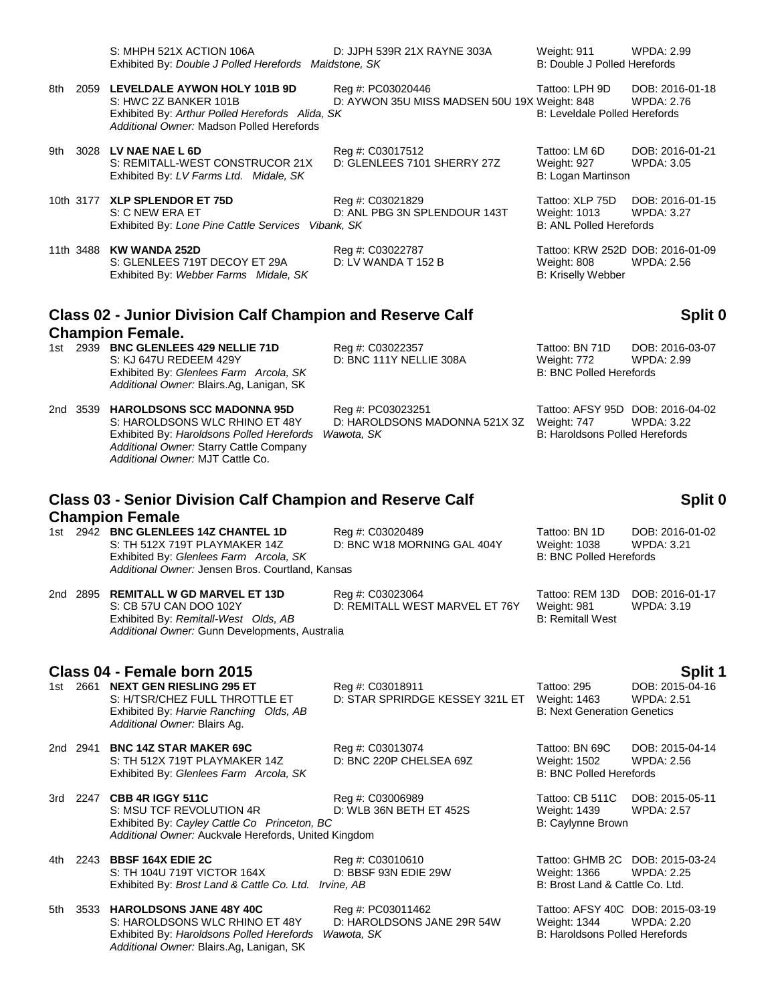|     | S: MHPH 521X ACTION 106A<br>Exhibited By: Double J Polled Herefords Maidstone, SK                                                                                                                 | D: JJPH 539R 21X RAYNE 303A                                       | Weight: 911<br>B: Double J Polled Herefords                                              | WPDA: 2.99                                      |
|-----|---------------------------------------------------------------------------------------------------------------------------------------------------------------------------------------------------|-------------------------------------------------------------------|------------------------------------------------------------------------------------------|-------------------------------------------------|
| 8th | 2059 LEVELDALE AYWON HOLY 101B 9D<br>S: HWC 2Z BANKER 101B<br>Exhibited By: Arthur Polled Herefords Alida, SK<br>Additional Owner: Madson Polled Herefords                                        | Reg #: PC03020446<br>D: AYWON 35U MISS MADSEN 50U 19X Weight: 848 | Tattoo: LPH 9D<br>B: Leveldale Polled Herefords                                          | DOB: 2016-01-18<br><b>WPDA: 2.76</b>            |
| 9th | 3028 LV NAE NAE L 6D<br>S: REMITALL-WEST CONSTRUCOR 21X<br>Exhibited By: LV Farms Ltd. Midale, SK                                                                                                 | Reg #: C03017512<br>D: GLENLEES 7101 SHERRY 27Z                   | Tattoo: LM 6D<br>Weight: 927<br>B: Logan Martinson                                       | DOB: 2016-01-21<br><b>WPDA: 3.05</b>            |
|     | 10th 3177 XLP SPLENDOR ET 75D<br>S: C NEW ERA ET<br>Exhibited By: Lone Pine Cattle Services Vibank, SK                                                                                            | Reg #: C03021829<br>D: ANL PBG 3N SPLENDOUR 143T                  | Tattoo: XLP 75D<br><b>Weight: 1013</b><br><b>B: ANL Polled Herefords</b>                 | DOB: 2016-01-15<br>WPDA: 3.27                   |
|     | 11th 3488 KW WANDA 252D<br>S: GLENLEES 719T DECOY ET 29A<br>Exhibited By: Webber Farms Midale, SK                                                                                                 | Reg #: C03022787<br>D: LV WANDA T 152 B                           | Tattoo: KRW 252D DOB: 2016-01-09<br>Weight: 808<br>B: Kriselly Webber                    | WPDA: 2.56                                      |
|     | <b>Class 02 - Junior Division Calf Champion and Reserve Calf</b><br><b>Champion Female.</b>                                                                                                       |                                                                   |                                                                                          | Split 0                                         |
|     | 1st 2939 BNC GLENLEES 429 NELLIE 71D<br>S: KJ 647U REDEEM 429Y<br>Exhibited By: Glenlees Farm Arcola, SK<br>Additional Owner: Blairs.Ag, Lanigan, SK                                              | Reg #: C03022357<br>D: BNC 111Y NELLIE 308A                       | Tattoo: BN 71D<br>Weight: 772<br><b>B: BNC Polled Herefords</b>                          | DOB: 2016-03-07<br><b>WPDA: 2.99</b>            |
|     | 2nd 3539 HAROLDSONS SCC MADONNA 95D<br>S: HAROLDSONS WLC RHINO ET 48Y<br>Exhibited By: Haroldsons Polled Herefords<br>Additional Owner: Starry Cattle Company<br>Additional Owner: MJT Cattle Co. | Reg #: PC03023251<br>D: HAROLDSONS MADONNA 521X 3Z<br>Wawota, SK  | Tattoo: AFSY 95D DOB: 2016-04-02<br>Weight: 747<br><b>B: Haroldsons Polled Herefords</b> | <b>WPDA: 3.22</b>                               |
|     | <b>Class 03 - Senior Division Calf Champion and Reserve Calf</b>                                                                                                                                  |                                                                   |                                                                                          | Split 0                                         |
|     | <b>Champion Female</b><br>1st 2942 BNC GLENLEES 14Z CHANTEL 1D<br>S: TH 512X 719T PLAYMAKER 14Z<br>Exhibited By: Glenlees Farm Arcola, SK<br>Additional Owner: Jensen Bros. Courtland, Kansas     | Reg #: C03020489<br>D: BNC W18 MORNING GAL 404Y                   | Tattoo: BN 1D<br>Weight: 1038<br><b>B: BNC Polled Herefords</b>                          | DOB: 2016-01-02<br><b>WPDA: 3.21</b>            |
|     | 2nd 2895 REMITALL W GD MARVEL ET 13D                                                                                                                                                              | Reg #: C03023064                                                  | Tattoo: REM 13D DOB: 2016-01-17                                                          |                                                 |
|     | S: CB 57U CAN DOO 102Y<br>Exhibited By: Remitall-West Olds, AB<br>Additional Owner: Gunn Developments, Australia                                                                                  | D: REMITALL WEST MARVEL ET 76Y Weight: 981                        | <b>B: Remitall West</b>                                                                  | WPDA: 3.19                                      |
|     | Class 04 - Female born 2015<br>1st 2661 NEXT GEN RIESLING 295 ET<br>S: H/TSR/CHEZ FULL THROTTLE ET<br>Exhibited By: Harvie Ranching Olds, AB<br>Additional Owner: Blairs Ag.                      | Reg #: C03018911<br>D: STAR SPRIRDGE KESSEY 321L ET               | Tattoo: 295<br>Weight: 1463<br><b>B: Next Generation Genetics</b>                        | Split 1<br>DOB: 2015-04-16<br><b>WPDA: 2.51</b> |
|     | 2nd 2941 BNC 14Z STAR MAKER 69C<br>S: TH 512X 719T PLAYMAKER 14Z<br>Exhibited By: Glenlees Farm Arcola, SK                                                                                        | Reg #: C03013074<br>D: BNC 220P CHELSEA 69Z                       | Tattoo: BN 69C<br>Weight: 1502<br><b>B: BNC Polled Herefords</b>                         | DOB: 2015-04-14<br>WPDA: 2.56                   |
|     | 3rd 2247 CBB 4R IGGY 511C<br>S: MSU TCF REVOLUTION 4R<br>Exhibited By: Cayley Cattle Co Princeton, BC<br>Additional Owner: Auckvale Herefords, United Kingdom                                     | Reg #: C03006989<br>D: WLB 36N BETH ET 452S                       | Tattoo: CB 511C<br>Weight: 1439<br>B: Caylynne Brown                                     | DOB: 2015-05-11<br><b>WPDA: 2.57</b>            |
|     | 4th 2243 BBSF 164X EDIE 2C<br>S: TH 104U 719T VICTOR 164X<br>Exhibited By: Brost Land & Cattle Co. Ltd. Irvine, AB                                                                                | Reg #: C03010610<br>D: BBSF 93N EDIE 29W                          | Tattoo: GHMB 2C DOB: 2015-03-24<br>Weight: 1366<br>B: Brost Land & Cattle Co. Ltd.       | <b>WPDA: 2.25</b>                               |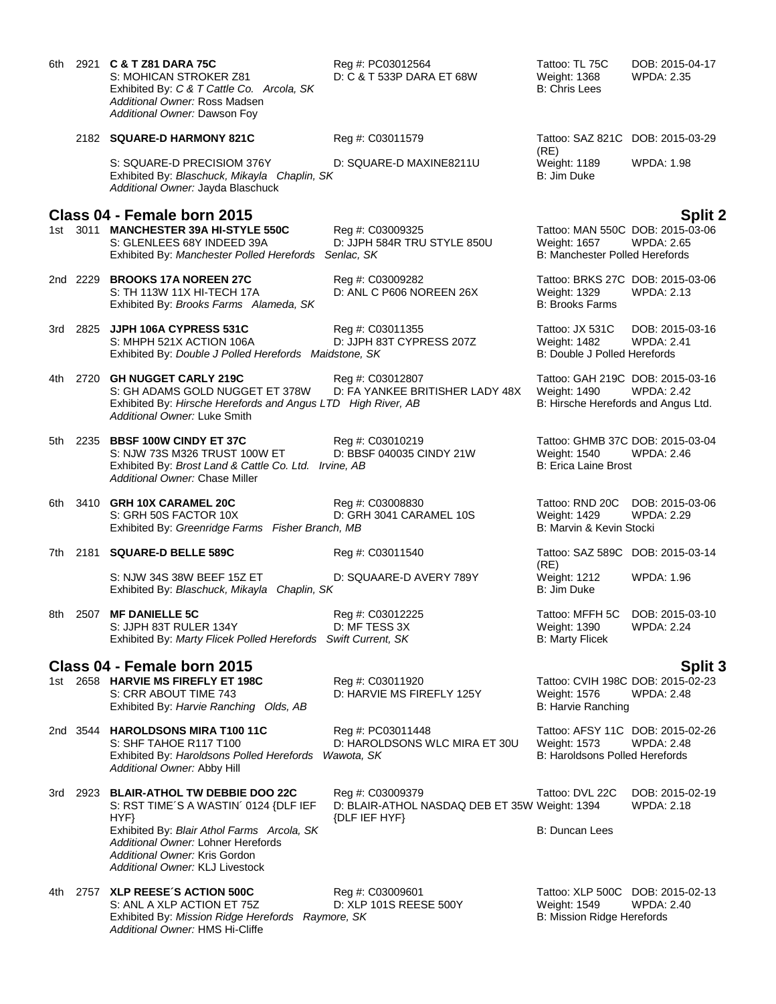|       |          | 6th 2921 C & T Z81 DARA 75C<br>S: MOHICAN STROKER Z81<br>Exhibited By: C & T Cattle Co. Arcola, SK<br>Additional Owner: Ross Madsen<br>Additional Owner: Dawson Foy | Reg #: PC03012564<br>D: C & T 533P DARA ET 68W                                     | Tattoo: TL 75C<br>Weight: 1368<br><b>B: Chris Lees</b>                                    | DOB: 2015-04-17<br>WPDA: 2.35        |
|-------|----------|---------------------------------------------------------------------------------------------------------------------------------------------------------------------|------------------------------------------------------------------------------------|-------------------------------------------------------------------------------------------|--------------------------------------|
|       |          | 2182 SQUARE-D HARMONY 821C                                                                                                                                          | Reg #: C03011579                                                                   | Tattoo: SAZ 821C DOB: 2015-03-29                                                          |                                      |
|       |          | S: SQUARE-D PRECISIOM 376Y<br>Exhibited By: Blaschuck, Mikayla Chaplin, SK<br>Additional Owner: Jayda Blaschuck                                                     | D: SQUARE-D MAXINE8211U                                                            | (RE)<br>Weight: 1189<br>B: Jim Duke                                                       | WPDA: 1.98                           |
|       |          | Class 04 - Female born 2015<br>1st 3011 MANCHESTER 39A HI-STYLE 550C<br>S: GLENLEES 68Y INDEED 39A<br>Exhibited By: Manchester Polled Herefords                     | Reg #: C03009325<br>D: JJPH 584R TRU STYLE 850U<br>Senlac, SK                      | Tattoo: MAN 550C DOB: 2015-03-06<br>Weight: 1657<br>B: Manchester Polled Herefords        | <b>Split 2</b><br>WPDA: 2.65         |
|       |          | 2nd 2229 BROOKS 17A NOREEN 27C<br>S: TH 113W 11X HI-TECH 17A<br>Exhibited By: Brooks Farms Alameda, SK                                                              | Reg #: C03009282<br>D: ANL C P606 NOREEN 26X                                       | Tattoo: BRKS 27C DOB: 2015-03-06<br>Weight: 1329<br><b>B: Brooks Farms</b>                | <b>WPDA: 2.13</b>                    |
|       | 3rd 2825 | JJPH 106A CYPRESS 531C<br>S: MHPH 521X ACTION 106A<br>Exhibited By: Double J Polled Herefords Maidstone, SK                                                         | Reg #: C03011355<br>D: JJPH 83T CYPRESS 207Z                                       | Tattoo: JX 531C<br>Weight: 1482<br>B: Double J Polled Herefords                           | DOB: 2015-03-16<br><b>WPDA: 2.41</b> |
| 4th - |          | 2720 GH NUGGET CARLY 219C<br>S: GH ADAMS GOLD NUGGET ET 378W<br>Exhibited By: Hirsche Herefords and Angus LTD High River, AB<br>Additional Owner: Luke Smith        | Reg #: C03012807<br>D: FA YANKEE BRITISHER LADY 48X                                | Tattoo: GAH 219C DOB: 2015-03-16<br>Weight: 1490<br>B: Hirsche Herefords and Angus Ltd.   | <b>WPDA: 2.42</b>                    |
|       |          | 5th 2235 BBSF 100W CINDY ET 37C<br>S: NJW 73S M326 TRUST 100W ET<br>Exhibited By: Brost Land & Cattle Co. Ltd. Irvine, AB<br>Additional Owner: Chase Miller         | Reg #: C03010219<br>D: BBSF 040035 CINDY 21W                                       | Tattoo: GHMB 37C DOB: 2015-03-04<br><b>Weight: 1540</b><br>B: Erica Laine Brost           | <b>WPDA: 2.46</b>                    |
|       |          | 6th 3410 GRH 10X CARAMEL 20C<br>S: GRH 50S FACTOR 10X<br>Exhibited By: Greenridge Farms Fisher Branch, MB                                                           | Reg #: C03008830<br>D: GRH 3041 CARAMEL 10S                                        | Tattoo: RND 20C<br>Weight: 1429<br>B: Marvin & Kevin Stocki                               | DOB: 2015-03-06<br>WPDA: 2.29        |
|       |          | 7th 2181 SQUARE-D BELLE 589C                                                                                                                                        | Reg #: C03011540                                                                   | Tattoo: SAZ 589C DOB: 2015-03-14                                                          |                                      |
|       |          | S: NJW 34S 38W BEEF 15Z ET<br>Exhibited By: Blaschuck, Mikayla Chaplin, SK                                                                                          | D: SQUAARE-D AVERY 789Y                                                            | (RE)<br>Weight: 1212<br>B: Jim Duke                                                       | <b>WPDA: 1.96</b>                    |
| 8th   |          | 2507 MF DANIELLE 5C<br>S: JJPH 83T RULER 134Y<br>Exhibited By: Marty Flicek Polled Herefords Swift Current, SK                                                      | Reg #: C03012225<br>D: MF TESS 3X                                                  | Tattoo: MFFH 5C<br>Weight: 1390<br><b>B: Marty Flicek</b>                                 | DOB: 2015-03-10<br><b>WPDA: 2.24</b> |
|       |          | Class 04 - Female born 2015                                                                                                                                         |                                                                                    |                                                                                           | <b>Split 3</b>                       |
|       |          | 1st 2658 HARVIE MS FIREFLY ET 198C<br>S: CRR ABOUT TIME 743<br>Exhibited By: Harvie Ranching Olds, AB                                                               | Reg #: C03011920<br>D: HARVIE MS FIREFLY 125Y                                      | Tattoo: CVIH 198C DOB: 2015-02-23<br>Weight: 1576<br><b>B: Harvie Ranching</b>            | WPDA: 2.48                           |
|       |          | 2nd 3544 HAROLDSONS MIRA T100 11C<br>S: SHF TAHOE R117 T100<br>Exhibited By: Haroldsons Polled Herefords<br>Additional Owner: Abby Hill                             | Reg #: PC03011448<br>D: HAROLDSONS WLC MIRA ET 30U<br>Wawota, SK                   | Tattoo: AFSY 11C DOB: 2015-02-26<br>Weight: 1573<br><b>B: Haroldsons Polled Herefords</b> | WPDA: 2.48                           |
|       | 3rd 2923 | <b>BLAIR-ATHOL TW DEBBIE DOO 22C</b><br>S: RST TIME'S A WASTIN' 0124 {DLF IEF<br>HYP                                                                                | Reg #: C03009379<br>D: BLAIR-ATHOL NASDAQ DEB ET 35W Weight: 1394<br>{DLF IEF HYF} | Tattoo: DVL 22C                                                                           | DOB: 2015-02-19<br>WPDA: 2.18        |
|       |          | Exhibited By: Blair Athol Farms Arcola, SK<br>Additional Owner: Lohner Herefords<br>Additional Owner: Kris Gordon<br>Additional Owner: KLJ Livestock                |                                                                                    | B: Duncan Lees                                                                            |                                      |
|       |          | 4th 2757 XLP REESE'S ACTION 500C<br>S: ANL A XLP ACTION ET 75Z<br>Exhibited By: Mission Ridge Herefords Raymore, SK<br>Additional Owner: HMS Hi-Cliffe              | Reg #: C03009601<br>D: XLP 101S REESE 500Y                                         | Tattoo: XLP 500C DOB: 2015-02-13<br>Weight: 1549<br>B: Mission Ridge Herefords            | WPDA: 2.40                           |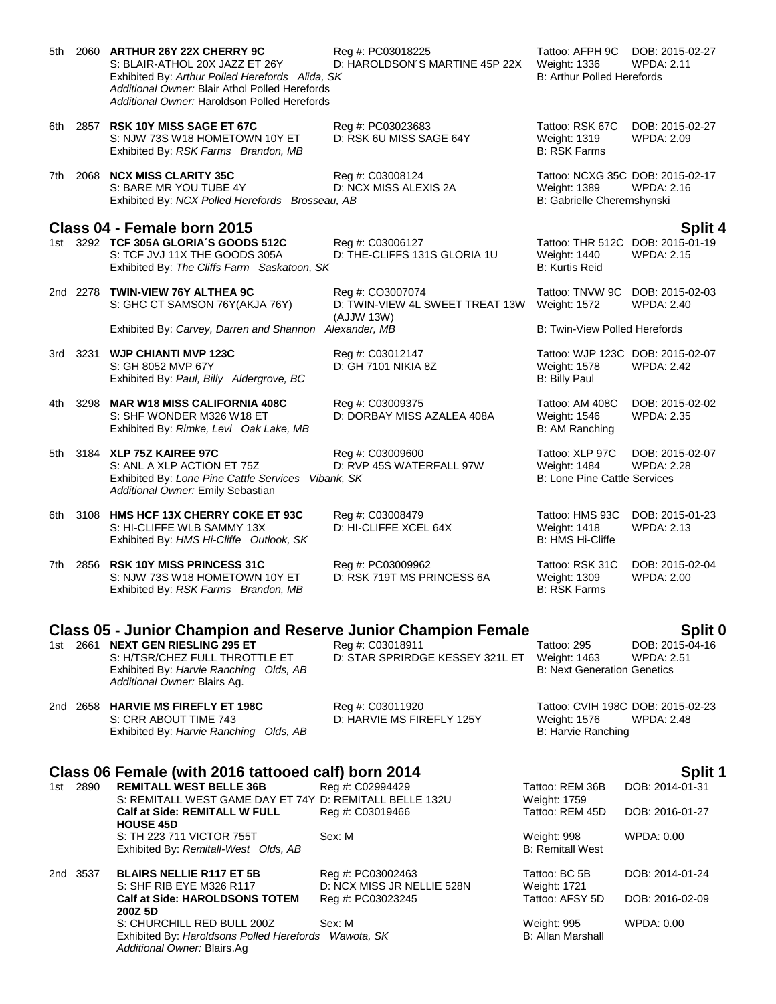| 5th   |          | 2060 ARTHUR 26Y 22X CHERRY 9C<br>S: BLAIR-ATHOL 20X JAZZ ET 26Y<br>Exhibited By: Arthur Polled Herefords Alida, SK<br>Additional Owner: Blair Athol Polled Herefords<br>Additional Owner: Haroldson Polled Herefords | Reg #: PC03018225<br>D: HAROLDSON'S MARTINE 45P 22X               | Tattoo: AFPH 9C<br><b>Weight: 1336</b><br><b>B: Arthur Polled Herefords</b>    | DOB: 2015-02-27<br>WPDA: 2.11                   |
|-------|----------|----------------------------------------------------------------------------------------------------------------------------------------------------------------------------------------------------------------------|-------------------------------------------------------------------|--------------------------------------------------------------------------------|-------------------------------------------------|
| 6th   |          | 2857 RSK 10Y MISS SAGE ET 67C<br>S: NJW 73S W18 HOMETOWN 10Y ET<br>Exhibited By: RSK Farms Brandon, MB                                                                                                               | Reg #: PC03023683<br>D: RSK 6U MISS SAGE 64Y                      | Tattoo: RSK 67C<br>Weight: 1319<br><b>B: RSK Farms</b>                         | DOB: 2015-02-27<br>WPDA: 2.09                   |
| 7th - |          | 2068 NCX MISS CLARITY 35C<br>S: BARE MR YOU TUBE 4Y<br>Exhibited By: NCX Polled Herefords Brosseau, AB                                                                                                               | Reg #: C03008124<br>D: NCX MISS ALEXIS 2A                         | Tattoo: NCXG 35C DOB: 2015-02-17<br>Weight: 1389<br>B: Gabrielle Cheremshynski | <b>WPDA: 2.16</b>                               |
|       |          |                                                                                                                                                                                                                      |                                                                   |                                                                                |                                                 |
| 1st - |          | Class 04 - Female born 2015<br>3292 TCF 305A GLORIA'S GOODS 512C<br>S: TCF JVJ 11X THE GOODS 305A<br>Exhibited By: The Cliffs Farm Saskatoon, SK                                                                     | Reg #: C03006127<br>D: THE-CLIFFS 131S GLORIA 1U                  | Tattoo: THR 512C DOB: 2015-01-19<br>Weight: 1440<br><b>B: Kurtis Reid</b>      | Split 4<br><b>WPDA: 2.15</b>                    |
|       |          | 2nd 2278 TWIN-VIEW 76Y ALTHEA 9C<br>S: GHC CT SAMSON 76Y(AKJA 76Y)                                                                                                                                                   | Reg #: CO3007074<br>D: TWIN-VIEW 4L SWEET TREAT 13W<br>(AJJW 13W) | Tattoo: TNVW 9C<br><b>Weight: 1572</b>                                         | DOB: 2015-02-03<br>WPDA: 2.40                   |
|       |          | Exhibited By: Carvey, Darren and Shannon Alexander, MB                                                                                                                                                               |                                                                   | B: Twin-View Polled Herefords                                                  |                                                 |
| 3rd   |          | 3231 WJP CHIANTI MVP 123C<br>S: GH 8052 MVP 67Y<br>Exhibited By: Paul, Billy Aldergrove, BC                                                                                                                          | Reg #: C03012147<br>D: GH 7101 NIKIA 8Z                           | Tattoo: WJP 123C DOB: 2015-02-07<br>Weight: 1578<br><b>B: Billy Paul</b>       | <b>WPDA: 2.42</b>                               |
| 4th - |          | 3298 MAR W18 MISS CALIFORNIA 408C<br>S: SHF WONDER M326 W18 ET<br>Exhibited By: Rimke, Levi Oak Lake, MB                                                                                                             | Reg #: C03009375<br>D: DORBAY MISS AZALEA 408A                    | Tattoo: AM 408C<br>Weight: 1546<br>B: AM Ranching                              | DOB: 2015-02-02<br><b>WPDA: 2.35</b>            |
| 5th l |          | 3184 XLP 75Z KAIREE 97C<br>S: ANL A XLP ACTION ET 75Z<br>Exhibited By: Lone Pine Cattle Services Vibank, SK<br>Additional Owner: Emily Sebastian                                                                     | Reg #: C03009600<br>D: RVP 45S WATERFALL 97W                      | Tattoo: XLP 97C<br>Weight: 1484<br><b>B: Lone Pine Cattle Services</b>         | DOB: 2015-02-07<br><b>WPDA: 2.28</b>            |
| 6th   | 3108     | <b>HMS HCF 13X CHERRY COKE ET 93C</b><br>S: HI-CLIFFE WLB SAMMY 13X<br>Exhibited By: HMS Hi-Cliffe Outlook, SK                                                                                                       | Reg #: C03008479<br>D: HI-CLIFFE XCEL 64X                         | Tattoo: HMS 93C<br>Weight: 1418<br>B: HMS Hi-Cliffe                            | DOB: 2015-01-23<br>WPDA: 2.13                   |
| 7th   |          | 2856 RSK 10Y MISS PRINCESS 31C<br>S: NJW 73S W18 HOMETOWN 10Y ET<br>Exhibited By: RSK Farms Brandon, MB                                                                                                              | Reg #: PC03009962<br>D: RSK 719T MS PRINCESS 6A                   | Tattoo: RSK 31C<br>Weight: 1309<br><b>B: RSK Farms</b>                         | DOB: 2015-02-04<br>WPDA: 2.00                   |
|       |          |                                                                                                                                                                                                                      |                                                                   |                                                                                |                                                 |
| 1st l |          | <b>Class 05 - Junior Champion and Reserve Junior Champion Female</b><br>2661 NEXT GEN RIESLING 295 ET<br>S: H/TSR/CHEZ FULL THROTTLE ET<br>Exhibited By: Harvie Ranching Olds, AB<br>Additional Owner: Blairs Ag.    | Reg #: C03018911<br>D: STAR SPRIRDGE KESSEY 321L ET               | Tattoo: 295<br>Weight: 1463<br><b>B: Next Generation Genetics</b>              | Split 0<br>DOB: 2015-04-16<br><b>WPDA: 2.51</b> |
|       |          | 2nd 2658 HARVIE MS FIREFLY ET 198C<br>S: CRR ABOUT TIME 743<br>Exhibited By: Harvie Ranching Olds, AB                                                                                                                | Reg #: C03011920<br>D: HARVIE MS FIREFLY 125Y                     | Tattoo: CVIH 198C DOB: 2015-02-23<br>Weight: 1576<br>B: Harvie Ranching        | <b>WPDA: 2.48</b>                               |
|       |          |                                                                                                                                                                                                                      |                                                                   |                                                                                |                                                 |
|       | 1st 2890 | Class 06 Female (with 2016 tattooed calf) born 2014                                                                                                                                                                  |                                                                   |                                                                                | Split 1                                         |
|       |          | <b>REMITALL WEST BELLE 36B</b><br>S: REMITALL WEST GAME DAY ET 74Y D: REMITALL BELLE 132U                                                                                                                            | Reg #: C02994429                                                  | Tattoo: REM 36B<br>Weight: 1759                                                | DOB: 2014-01-31                                 |
|       |          | <b>Calf at Side: REMITALL W FULL</b>                                                                                                                                                                                 | Reg #: C03019466                                                  | Tattoo: REM 45D                                                                | DOB: 2016-01-27                                 |
|       |          | <b>HOUSE 45D</b><br>S: TH 223 711 VICTOR 755T<br>Exhibited By: Remitall-West Olds, AB                                                                                                                                | Sex: M                                                            | Weight: 998<br><b>B: Remitall West</b>                                         | WPDA: 0.00                                      |
|       | 2nd 3537 | <b>BLAIRS NELLIE R117 ET 5B</b>                                                                                                                                                                                      | Reg #: PC03002463                                                 | Tattoo: BC 5B                                                                  | DOB: 2014-01-24                                 |
|       |          | S: SHF RIB EYE M326 R117<br><b>Calf at Side: HAROLDSONS TOTEM</b>                                                                                                                                                    | D: NCX MISS JR NELLIE 528N<br>Reg #: PC03023245                   | Weight: 1721<br>Tattoo: AFSY 5D                                                | DOB: 2016-02-09                                 |
|       |          | 200Z 5D<br>S: CHURCHILL RED BULL 200Z<br>Exhibited By: Haroldsons Polled Herefords Wawota, SK<br>Additional Owner: Blairs.Ag                                                                                         | Sex: M                                                            | Weight: 995<br><b>B: Allan Marshall</b>                                        | WPDA: 0.00                                      |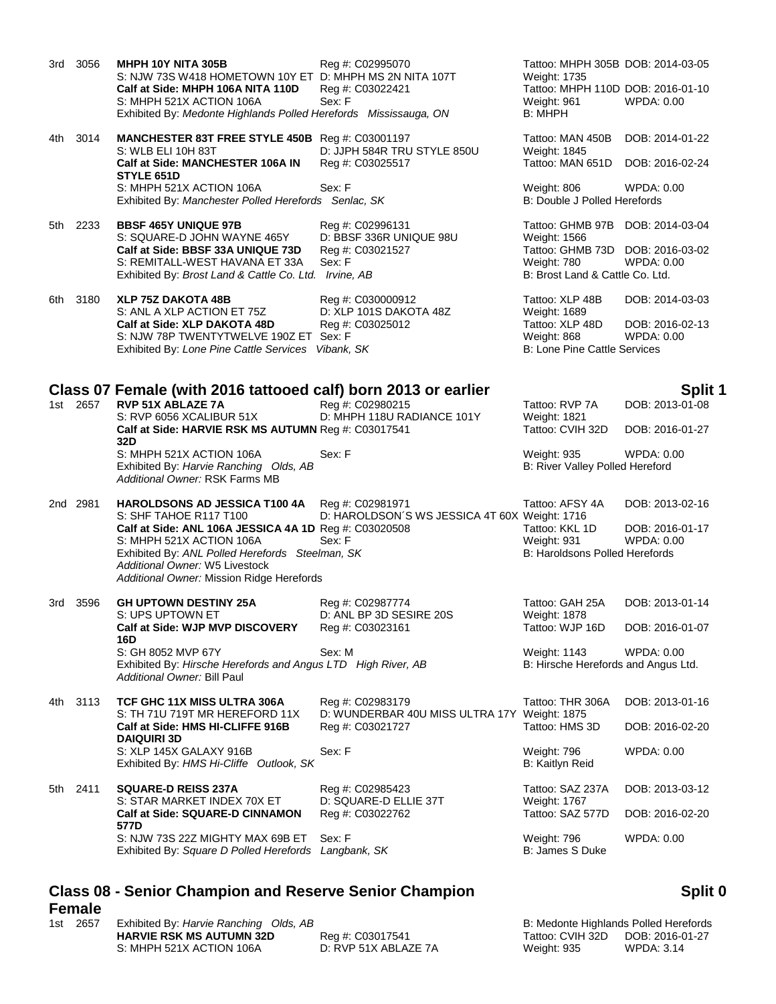3rd 3056 **MHPH 10Y NITA 305B** Reg #: C02995070 Tattoo: MHPH 305B DOB: 2014-03-05 S: NJW 73S W418 HOMETOWN 10Y ET D: MHPH MS 2N NITA 107T Weight: 1735 **Calf at Side: MHPH 106A NITA 110D** Reg #: C03022421 Tattoo: MHPH 110D DOB: 2016-01-10 S: MHPH 521X ACTION 106A Sex: F Weight: 961 WPDA: 0.00 Exhibited By: *Medonte Highlands Polled Herefords Mississauga, ON* B: MHPH

4th 3014 **MANCHESTER 83T FREE STYLE 450B** Reg #: C03001197 Tattoo: MAN 450B DOB: 2014-01-22 S: WLB ELI 10H 83T D: JJPH 584R TRU STYLE 850U Weight: 1845 **Calf at Side: MANCHESTER 106A IN STYLE 651D** S: MHPH 521X ACTION 106A Sex: F Weight: 806 WPDA: 0.00 Exhibited By: *Manchester Polled Herefords Senlac, SK* B: Double J Polled Herefords

5th 2233 **BBSF 465Y UNIQUE 97B** Reg #: C02996131 Tattoo: GHMB 97B DOB: 2014-03-04 S: SQUARE-D JOHN WAYNE 465Y D: BBSF 336R UNIQUE 98U Weight: 1566 **Calf at Side: BBSF 33A UNIQUE 73D** Reg #: C03021527 Tattoo: GHMB 73D DOB: 2016-03-02<br>S: REMITALL-WEST HAVANA ET 33A Sex: F Weight: 780 WPDA: 0.00 S: REMITALL-WEST HAVANA ET 33A Sex: F WEIGHT: 0.000 WPDA: 0.000 WPDA: 780 Exhibited By: *Brost Land & Cattle Co. Ltd. Irvine, AB* B: Brost Land & Cattle Co. Ltd.

6th 3180 **XLP 75Z DAKOTA 48B** Reg #: C030000912 **Tattoo: XLP 48B** DOB: 2014-03-03<br>S: ANL A XLP ACTION ET 75Z D: XLP 101S DAKOTA 48Z Weight: 1689 S: ANL A XLP ACTION ET 75Z **Calf at Side: XLP DAKOTA 48D** Reg #: C03025012 Tattoo: XLP 48D DOB: 2016-02-13 S: NJW 78P TWENTYTWELVE 190Z ET Sex: F<br>
Exhibited By: Lone Pine Cattle Services Vibank, SK Metal Metal Music B: Lone Pine Cattle Services Exhibited By: Lone Pine Cattle Services Vibank, SK

# **Class 07 Female (with 2016 tattooed calf) born 2013 or earlier <b>Split 1** Split 1

1st 2657 **RVP 51X ABLAZE 7A** Reg #: C02980215 Tattoo: RVP 7A DOB: 2013-01-08<br>S: RVP 6056 XCALIBUR 51X D: MHPH 118U RADIANCE 101Y Weight: 1821 D: MHPH 118U RADIANCE 101Y Weight: 1821 **Calf at Side: HARVIE RSK MS AUTUMN** Reg #: C03017541 Tattoo: CVIH 32D DOB: 2016-01-27 **32D** S: MHPH 521X ACTION 106A Sex: F Weight: 935 WPDA: 0.00 Exhibited By: *Harvie Ranching Olds, AB* B: River Valley Polled Hereford *Additional Owner:* RSK Farms MB

2nd 2981 **HAROLDSONS AD JESSICA T100 4A** Reg #: C02981971 S: SHF TAHOE R117 T100 D: HAROLDSON´S WS JESSICA 4T 60X Weight: 1716 S: MHPH 521X ACTION 106A Sex: F Weight: 931 WPDA: 0.00 Exhibited By: *ANL Polled Herefords Steelman, SK* B: Haroldsons Polled Herefords **B**: Haroldsons Polled Herefords *Additional Owner:* W5 Livestock

**Calf at Side: SQUARE-D CINNAMON 577D** S: NJW 73S 22Z MIGHTY MAX 69B ET Sex: F WEIGHT MAX 69B ET Sex: F WEIGHT MAX 89B ET SEX: NUMBER 2000 Exhibited By: *Square D Polled Herefords Langbank, SK* B: James S Duke

# **Class 08 - Senior Champion and Reserve Senior Champion Female**

| 1st 2657 | Exhibited By: Harvie Ranching Olds, AB |                      | B: Medonte Highlands Polled Herefords |            |
|----------|----------------------------------------|----------------------|---------------------------------------|------------|
|          | <b>HARVIE RSK MS AUTUMN 32D</b>        | Reg #: C03017541     | Tattoo: CVIH 32D DOB: 2016-01-27      |            |
|          | S: MHPH 521X ACTION 106A               | D: RVP 51X ABLAZE 7A | Weight: 935                           | WPDA: 3.14 |

## **Split 0**

|                  | B: Medonte Highlands Polled Herefords |
|------------------|---------------------------------------|
| Tattoo: CVIH 32D | DOB: 2016-01-27                       |
| Weight: 935      | WPDA: 3.14                            |

|       | 2nd 2981 | <b>HAROLDSONS AD JESSICA T100 4A</b><br>S: SHF TAHOE R117 T100                                     | Reg #: C02981971<br>D: HAROLDSON'S WS JESSICA 4T 60X Weight: 1716 | Tattoo: AFSY 4A                       | DOB: 2013-02-16 |
|-------|----------|----------------------------------------------------------------------------------------------------|-------------------------------------------------------------------|---------------------------------------|-----------------|
|       |          | Calf at Side: ANL 106A JESSICA 4A 1D Reg #: C03020508                                              |                                                                   | Tattoo: KKL 1D                        | DOB: 2016-01-17 |
|       |          | S: MHPH 521X ACTION 106A                                                                           | Sex: F                                                            | Weight: 931                           | WPDA: 0.00      |
|       |          | Exhibited By: ANL Polled Herefords Steelman, SK                                                    |                                                                   | <b>B: Haroldsons Polled Herefords</b> |                 |
|       |          | Additional Owner: W5 Livestock                                                                     |                                                                   |                                       |                 |
|       |          | Additional Owner: Mission Ridge Herefords                                                          |                                                                   |                                       |                 |
| 3rd   | 3596     | <b>GH UPTOWN DESTINY 25A</b>                                                                       | Reg #: C02987774                                                  | Tattoo: GAH 25A                       | DOB: 2013-01-14 |
|       |          | S: UPS UPTOWN ET                                                                                   | D: ANL BP 3D SESIRE 20S                                           | <b>Weight: 1878</b>                   |                 |
|       |          | Calf at Side: WJP MVP DISCOVERY<br>16D                                                             | Reg #: C03023161                                                  | Tattoo: WJP 16D                       | DOB: 2016-01-07 |
|       |          | S: GH 8052 MVP 67Y                                                                                 | Sex: M                                                            | <b>Weight: 1143</b>                   | WPDA: 0.00      |
|       |          | Exhibited By: Hirsche Herefords and Angus LTD High River, AB<br><b>Additional Owner: Bill Paul</b> |                                                                   | B: Hirsche Herefords and Angus Ltd.   |                 |
| 4th - | 3113     | TCF GHC 11X MISS ULTRA 306A<br>S: TH 71U 719T MR HEREFORD 11X                                      | Reg #: C02983179<br>D: WUNDERBAR 40U MISS ULTRA 17Y Weight: 1875  | Tattoo: THR 306A                      | DOB: 2013-01-16 |
|       |          | Calf at Side: HMS HI-CLIFFE 916B<br><b>DAIQUIRI 3D</b>                                             | Reg #: C03021727                                                  | Tattoo: HMS 3D                        | DOB: 2016-02-20 |
|       |          | S: XLP 145X GALAXY 916B                                                                            | Sex: F                                                            | Weight: 796                           | WPDA: 0.00      |
|       |          | Exhibited By: HMS Hi-Cliffe Outlook, SK                                                            |                                                                   | B: Kaitlyn Reid                       |                 |
| 5th   | 2411     | <b>SQUARE-D REISS 237A</b>                                                                         | Reg #: C02985423                                                  | Tattoo: SAZ 237A                      | DOB: 2013-03-12 |
|       |          | S: STAR MARKET INDEX 70X ET                                                                        | D: SQUARE-D ELLIE 37T                                             | Weight: 1767                          |                 |
|       |          | <b>Calf at Side: SQUARE-D CINNAMON</b><br>577D                                                     | Reg #: C03022762                                                  | Tattoo: SAZ 577D                      | DOB: 2016-02-20 |
|       |          |                                                                                                    |                                                                   |                                       |                 |

Reg #: C03025517 Tattoo: MAN 651D DOB: 2016-02-24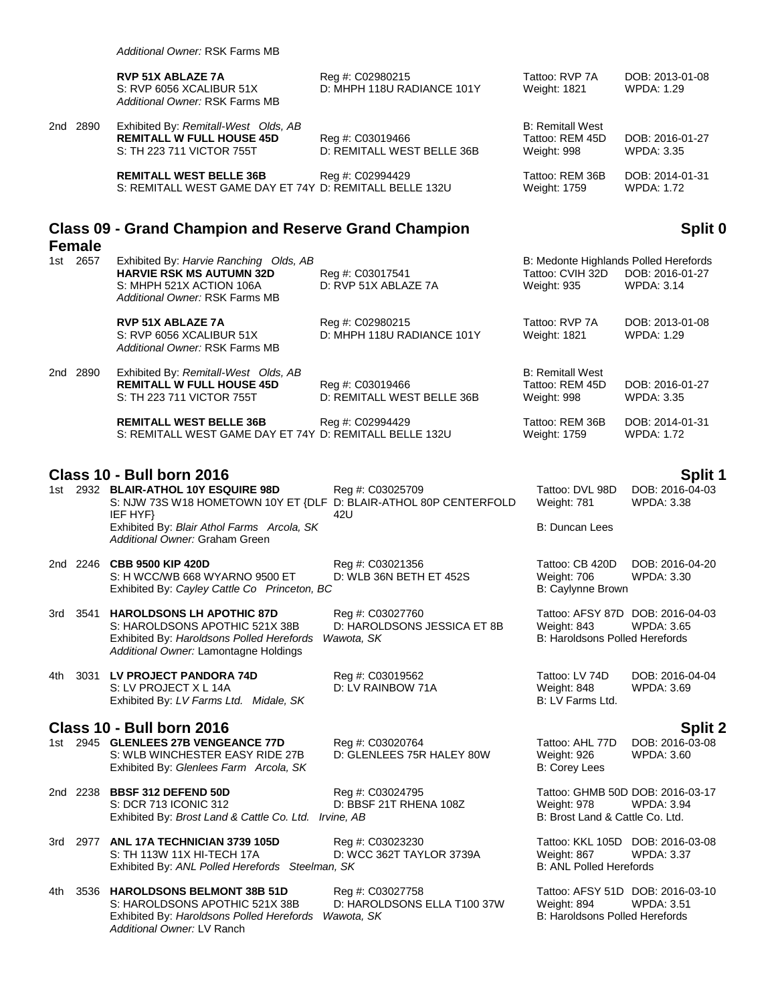|          | <b>RVP 51X ABLAZE 7A</b><br>S: RVP 6056 XCALIBUR 51X<br>Additional Owner: RSK Farms MB                | Reg #: C02980215<br>D: MHPH 118U RADIANCE 101Y | Tattoo: RVP 7A<br>Weight: 1821                            | DOB: 2013-01-08<br>WPDA: 1.29        |
|----------|-------------------------------------------------------------------------------------------------------|------------------------------------------------|-----------------------------------------------------------|--------------------------------------|
| 2nd 2890 | Exhibited By: Remitall-West Olds, AB<br><b>REMITALL W FULL HOUSE 45D</b><br>S: TH 223 711 VICTOR 755T | Reg #: C03019466<br>D: REMITALL WEST BELLE 36B | <b>B: Remitall West</b><br>Tattoo: REM 45D<br>Weight: 998 | DOB: 2016-01-27<br>WPDA: 3.35        |
|          | <b>REMITALL WEST BELLE 36B</b><br>S: REMITALL WEST GAME DAY ET 74Y D: REMITALL BELLE 132U             | Reg #: C02994429                               | Tattoo: REM 36B<br>Weight: 1759                           | DOB: 2014-01-31<br><b>WPDA: 1.72</b> |

### **Class 09 - Grand Champion and Reserve Grand Champion Female**

| 1st | 2657     | Exhibited By: Harvie Ranching Olds, AB |                            | B: Medonte Highlands Polled Herefords |                   |
|-----|----------|----------------------------------------|----------------------------|---------------------------------------|-------------------|
|     |          | <b>HARVIE RSK MS AUTUMN 32D</b>        | Reg #: C03017541           | Tattoo: CVIH 32D                      | DOB: 2016-01-27   |
|     |          | S: MHPH 521X ACTION 106A               | D: RVP 51X ABLAZE 7A       | Weight: 935                           | WPDA: 3.14        |
|     |          | Additional Owner: RSK Farms MB         |                            |                                       |                   |
|     |          | <b>RVP 51X ABLAZE 7A</b>               | Reg #: C02980215           | Tattoo: RVP 7A                        | DOB: 2013-01-08   |
|     |          | S: RVP 6056 XCALIBUR 51X               | D: MHPH 118U RADIANCE 101Y | Weight: 1821                          | WPDA: 1.29        |
|     |          | Additional Owner: RSK Farms MB         |                            |                                       |                   |
|     | 2nd 2890 | Exhibited By: Remitall-West Olds, AB   |                            | <b>B: Remitall West</b>               |                   |
|     |          | <b>REMITALL W FULL HOUSE 45D</b>       | Reg #: C03019466           | Tattoo: REM 45D                       | DOB: 2016-01-27   |
|     |          | S: TH 223 711 VICTOR 755T              | D: REMITALL WEST BELLE 36B | Weight: 998                           | <b>WPDA: 3.35</b> |
|     |          | <b>REMITALL WEST BELLE 36B</b>         | Reg #: C02994429           | Tattoo: REM 36B                       | DOB: 2014-01-31   |

S: REMITALL WEST GAME DAY ET 74Y D: REMITALL BELLE 132U Weight: 1759 WPDA: 1.72

| <b>Class 10 - Bull born 2016</b> |  |                                                                   |                  |                 | Split 1         |
|----------------------------------|--|-------------------------------------------------------------------|------------------|-----------------|-----------------|
|                                  |  | 1st 2932 BLAIR-ATHOL 10Y ESQUIRE 98D                              | Reg #: C03025709 | Tattoo: DVL 98D | DOB: 2016-04-03 |
|                                  |  | S: NJW 73S W18 HOMETOWN 10Y ET {DLF D: BLAIR-ATHOL 80P CENTERFOLD |                  | Weiaht: 781     | WPDA: 3.38      |
|                                  |  | IEF HYF}                                                          | 42U              |                 |                 |
|                                  |  | Exhibited By: Blair Athol Farms Arcola, SK                        |                  | B: Duncan Lees  |                 |
|                                  |  | Additional Owner: Graham Green                                    |                  |                 |                 |

2nd 2246 **CBB 9500 KIP 420D** Reg #: C03021356 Tattoo: CB 420D DOB: 2016-04-20 S: H WCC/WB 668 WYARNO 9500 ET D: WLB 36N BETH ET 452S Weight: 706 WPDA: 3.30 Exhibited By: Cayley Cattle Co Princeton, BC B: Caylynne Brown

3rd 3541 **HAROLDSONS LH APOTHIC 87D** Reg #: C03027760 Tattoo: AFSY 87D DOB: 2016-04-03 S: HAROLDSONS APOTHIC 521X 38B D: HAROLDSONS JESSICA ET 8B Weight: 843 WPDA: 3.65 Exhibited By: *Haroldsons Polled Herefords Wawota, SK* B: Haroldsons Polled Herefords *Additional Owner:* Lamontagne Holdings

4th 3031 **LV PROJECT PANDORA 74D** Reg #: C03019562 Tattoo: LV 74D DOB: 2016-04-04 S: LV PROJECT X L 14A D: LV RAINBOW 71A Weight: 848 WPDA: 3.69 Exhibited By: *LV Farms Ltd. Midale, SK* B: LV Farms Ltd.

### **Class 10 - Bull born 2016 Split 2**

1st 2945 **GLENLEES 27B VENGEANCE 77D** Reg #: C03020764 Tattoo: AHL 77D DOB: 2016-03-08 S: WLB WINCHESTER EASY RIDE 27B D: GLENLEES 75R HALEY 80W Weight: 926 WPDA: 3.60<br>
Exhibited By: Glenlees Farm Arcola, SK B: Corey Lees B: Corey Lees Exhibited By: Glenlees Farm Arcola, SK

2nd 2238 **BBSF 312 DEFEND 50D** Reg #: C03024795 Reg **712 Tattoo: GHMB 50D DOB: 2016-03-17**<br>S: DCR 713 ICONIC 312 D: BBSF 21T RHENA 108Z Weight: 978 WPDA: 3.94 Exhibited By: *Brost Land & Cattle Co. Ltd. Irvine, AB* 

3rd 2977 **ANL 17A TECHNICIAN 3739 105D** Reg #: C03023230 Tattoo: KKL 105D DOB: 2016-03-08 S: TH 113W 11X HI-TECH 17A D: WCC 362T TAYLOR 3739A Weight: 867 Exhibited By: *ANL Polled Herefords* Steelman, SK B: ANL Polled Herefords **B:** ANL Polled Herefords

4th 3536 **HAROLDSONS BELMONT 38B 51D** Reg #: C03027758 Tattoo: AFSY 51D DOB: 2016-03-10 S: HAROLDSONS APOTHIC 521X 38B D: HAROLDSONS ELLA T100 37W Weight: 894 WPDA: 3.51 Exhibited By: *Haroldsons Polled Herefords Wawota, SK* B: Haroldsons Polled Herefords *Additional Owner:* LV Ranch

### **Split 0**

D: BBSF 21T RHENA 108Z Weight: 978 WPDA: 3.94<br>
ine, AB B: Brost Land & Cattle Co. Ltd.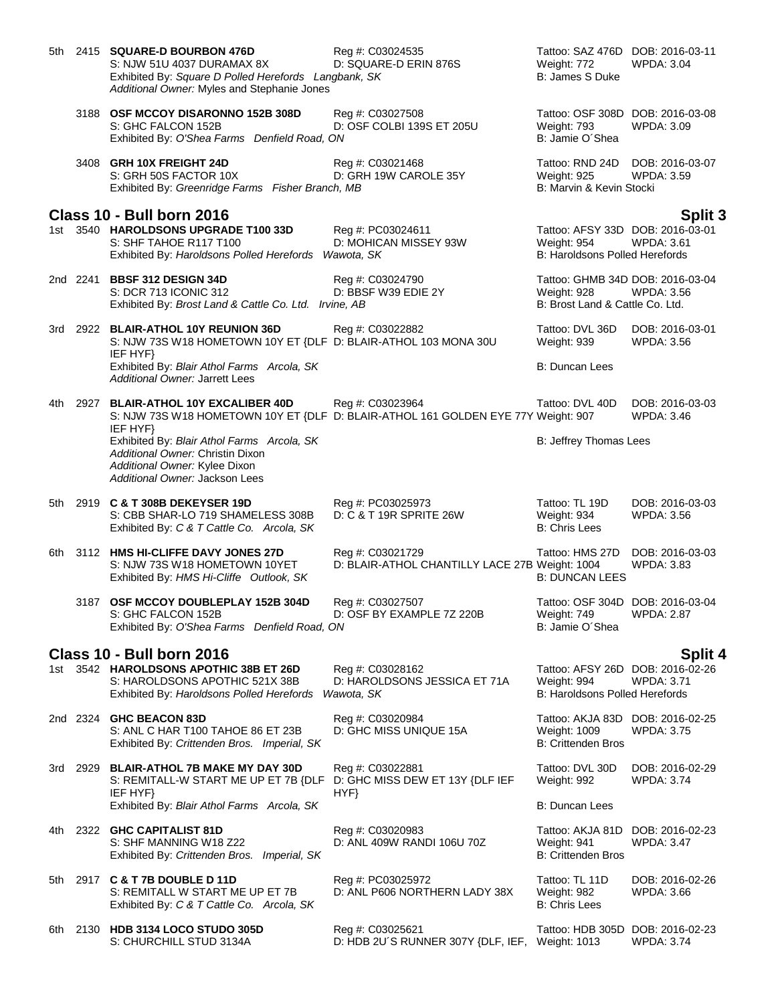| 5th  |          | 2415 SQUARE-D BOURBON 476D<br>S: NJW 51U 4037 DURAMAX 8X<br>Exhibited By: Square D Polled Herefords Langbank, SK<br>Additional Owner: Myles and Stephanie Jones | Reg #: C03024535<br>D: SQUARE-D ERIN 876S                           | Tattoo: SAZ 476D DOB: 2016-03-11<br>Weight: 772<br>B: James S Duke                       | <b>WPDA: 3.04</b>                    |
|------|----------|-----------------------------------------------------------------------------------------------------------------------------------------------------------------|---------------------------------------------------------------------|------------------------------------------------------------------------------------------|--------------------------------------|
|      |          | 3188 OSF MCCOY DISARONNO 152B 308D<br>S: GHC FALCON 152B<br>Exhibited By: O'Shea Farms Denfield Road, ON                                                        | Reg #: C03027508<br>D: OSF COLBI 139S ET 205U                       | Tattoo: OSF 308D DOB: 2016-03-08<br>Weight: 793<br>B: Jamie O'Shea                       | WPDA: 3.09                           |
|      |          | 3408 GRH 10X FREIGHT 24D<br>S: GRH 50S FACTOR 10X<br>Exhibited By: Greenridge Farms Fisher Branch, MB                                                           | Reg #: C03021468<br>D: GRH 19W CAROLE 35Y                           | Tattoo: RND 24D DOB: 2016-03-07<br><b>Weight: 925</b><br>B: Marvin & Kevin Stocki        | WPDA: 3.59                           |
|      |          | Class 10 - Bull born 2016                                                                                                                                       |                                                                     |                                                                                          | <b>Split 3</b>                       |
|      |          | 1st 3540 HAROLDSONS UPGRADE T100 33D<br>S: SHF TAHOE R117 T100<br>Exhibited By: Haroldsons Polled Herefords Wawota, SK                                          | Reg #: PC03024611<br>D: MOHICAN MISSEY 93W                          | Tattoo: AFSY 33D DOB: 2016-03-01<br>Weight: 954<br><b>B: Haroldsons Polled Herefords</b> | <b>WPDA: 3.61</b>                    |
|      |          | 2nd 2241 BBSF 312 DESIGN 34D<br>S: DCR 713 ICONIC 312<br>Exhibited By: Brost Land & Cattle Co. Ltd. Irvine, AB                                                  | Reg #: C03024790<br>D: BBSF W39 EDIE 2Y                             | Tattoo: GHMB 34D DOB: 2016-03-04<br>Weight: 928<br>B: Brost Land & Cattle Co. Ltd.       | WPDA: 3.56                           |
|      |          | 3rd 2922 BLAIR-ATHOL 10Y REUNION 36D<br>S: NJW 73S W18 HOMETOWN 10Y ET {DLF D: BLAIR-ATHOL 103 MONA 30U<br>IEF HYF}                                             | Reg #: C03022882                                                    | Tattoo: DVL 36D<br>Weight: 939                                                           | DOB: 2016-03-01<br>WPDA: 3.56        |
|      |          | Exhibited By: Blair Athol Farms Arcola, SK<br>Additional Owner: Jarrett Lees                                                                                    |                                                                     | B: Duncan Lees                                                                           |                                      |
|      | 4th 2927 | <b>BLAIR-ATHOL 10Y EXCALIBER 40D</b><br>S: NJW 73S W18 HOMETOWN 10Y ET {DLF D: BLAIR-ATHOL 161 GOLDEN EYE 77Y Weight: 907<br>IEF HYF}                           | Reg #: C03023964                                                    | Tattoo: DVL 40D                                                                          | DOB: 2016-03-03<br><b>WPDA: 3.46</b> |
|      |          | Exhibited By: Blair Athol Farms Arcola, SK<br>Additional Owner: Christin Dixon<br>Additional Owner: Kylee Dixon<br>Additional Owner: Jackson Lees               |                                                                     | B: Jeffrey Thomas Lees                                                                   |                                      |
| 5th  |          | 2919 C & T 308B DEKEYSER 19D<br>S: CBB SHAR-LO 719 SHAMELESS 308B<br>Exhibited By: C & T Cattle Co. Arcola, SK                                                  | Reg #: PC03025973<br>D: C & T 19R SPRITE 26W                        | Tattoo: TL 19D<br>Weight: 934<br><b>B: Chris Lees</b>                                    | DOB: 2016-03-03<br><b>WPDA: 3.56</b> |
| 6th  |          | 3112 HMS HI-CLIFFE DAVY JONES 27D<br>S: NJW 73S W18 HOMETOWN 10YET<br>Exhibited By: HMS Hi-Cliffe Outlook, SK                                                   | Reg #: C03021729<br>D: BLAIR-ATHOL CHANTILLY LACE 27B Weight: 1004  | Tattoo: HMS 27D<br><b>B: DUNCAN LEES</b>                                                 | DOB: 2016-03-03<br><b>WPDA: 3.83</b> |
|      |          | 3187 OSF MCCOY DOUBLEPLAY 152B 304D<br>S: GHC FALCON 152B<br>Exhibited By: O'Shea Farms Denfield Road, ON                                                       | Reg #: C03027507<br>D: OSF BY EXAMPLE 7Z 220B                       | Tattoo: OSF 304D DOB: 2016-03-04<br>Weight: 749<br>B: Jamie O'Shea                       | WPDA: 2.87                           |
|      |          | Class 10 - Bull born 2016                                                                                                                                       |                                                                     |                                                                                          | Split 4                              |
|      |          | 1st 3542 HAROLDSONS APOTHIC 38B ET 26D<br>S: HAROLDSONS APOTHIC 521X 38B<br>Exhibited By: Haroldsons Polled Herefords                                           | Reg #: C03028162<br>D: HAROLDSONS JESSICA ET 71A<br>Wawota, SK      | Tattoo: AFSY 26D DOB: 2016-02-26<br>Weight: 994<br><b>B: Haroldsons Polled Herefords</b> | <b>WPDA: 3.71</b>                    |
|      |          | 2nd 2324 <b>GHC BEACON 83D</b><br>S: ANL C HAR T100 TAHOE 86 ET 23B<br>Exhibited By: Crittenden Bros. Imperial, SK                                              | Reg #: C03020984<br>D: GHC MISS UNIQUE 15A                          | Tattoo: AKJA 83D DOB: 2016-02-25<br><b>Weight: 1009</b><br><b>B: Crittenden Bros</b>     | WPDA: 3.75                           |
| 3rd  | 2929     | <b>BLAIR-ATHOL 7B MAKE MY DAY 30D</b><br>S: REMITALL-W START ME UP ET 7B {DLF<br>IEF HYF}                                                                       | Reg #: C03022881<br>D: GHC MISS DEW ET 13Y {DLF IEF<br>HYP          | Tattoo: DVL 30D<br>Weight: 992                                                           | DOB: 2016-02-29<br>WPDA: 3.74        |
|      |          | Exhibited By: Blair Athol Farms Arcola, SK                                                                                                                      |                                                                     | B: Duncan Lees                                                                           |                                      |
| 4th  |          | 2322 GHC CAPITALIST 81D<br>S: SHF MANNING W18 Z22<br>Exhibited By: Crittenden Bros. Imperial, SK                                                                | Reg #: C03020983<br>D: ANL 409W RANDI 106U 70Z                      | Tattoo: AKJA 81D<br>Weight: 941<br><b>B: Crittenden Bros</b>                             | DOB: 2016-02-23<br><b>WPDA: 3.47</b> |
| 5th  |          | 2917 C & T 7B DOUBLE D 11D<br>S: REMITALL W START ME UP ET 7B<br>Exhibited By: C & T Cattle Co. Arcola, SK                                                      | Reg #: PC03025972<br>D: ANL P606 NORTHERN LADY 38X                  | Tattoo: TL 11D<br>Weight: 982<br><b>B: Chris Lees</b>                                    | DOB: 2016-02-26<br><b>WPDA: 3.66</b> |
| 6th. |          | 2130 HDB 3134 LOCO STUDO 305D<br>S: CHURCHILL STUD 3134A                                                                                                        | Reg #: C03025621<br>D: HDB 2U'S RUNNER 307Y {DLF, IEF, Weight: 1013 | Tattoo: HDB 305D DOB: 2016-02-23                                                         | <b>WPDA: 3.74</b>                    |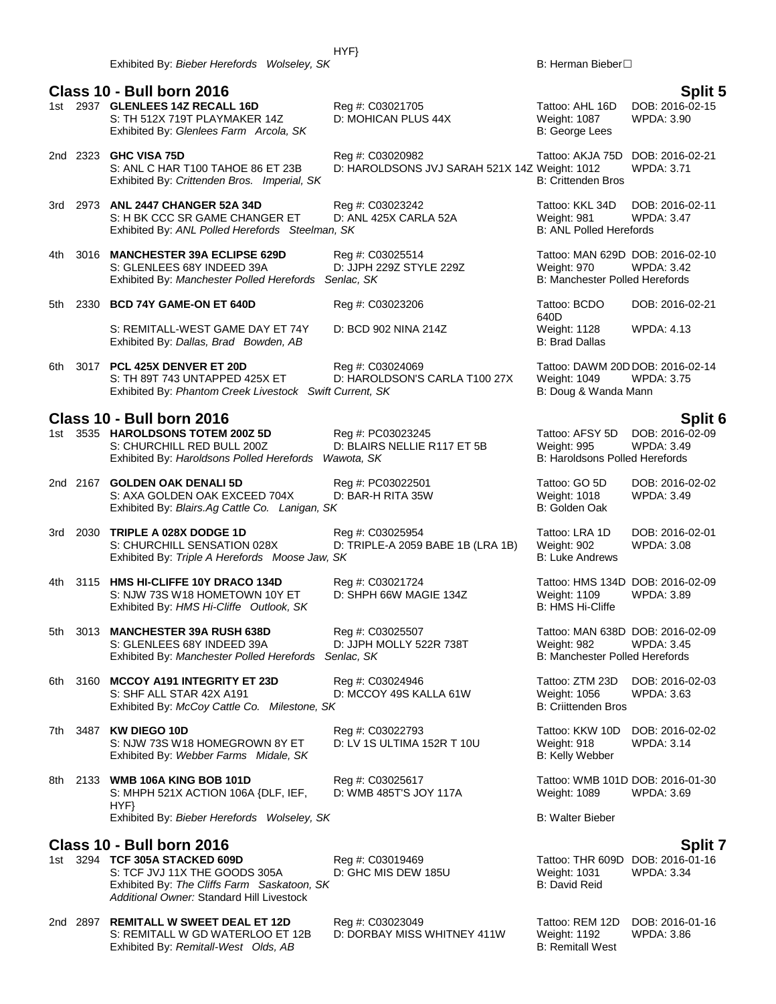### **Class 10 - Bull born 2016 Split 5** 1st 2937 **GLENLEES 14Z RECALL 16D** Reg #: C03021705 Tattoo: AHL 16D DOB: 2016-02-15 S: TH 512X 719T PLAYMAKER 14Z D: MOHICAN PLUS 44X Weight: 1087 WPDA: 3.90<br>
Exhibited By: Glenlees Farm Arcola, SK B: George Lees Exhibited By: Glenlees Farm Arcola, SK 2nd 2323 **GHC VISA 75D**<br>216-02-21 Reg #: C03020982 Tattoo: AKJA 75D DOB: 2016-02-21<br>21. S: ANL C HAR T100 TAHOE 86 ET 23B D: HAROLDSONS JVJ SARAH 521X 14Z Weight: 1012 WPDA: 3.71 D: HAROLDSONS JVJ SARAH 521X 14Z Weight: 1012<br>B: Crittenden Bros Exhibited By: Crittenden Bros. Imperial, SK 3rd 2973 **ANL 2447 CHANGER 52A 34D** Reg #: C03023242 **Tattoo: KKL 34D DOB: 2016-02-11**<br>S: H BK CCC SR GAME CHANGER ET D: ANL 425X CARLA 52A Weight: 981 WPDA: 3.47 S: H BK CCC SR GAME CHANGER ET D: ANL 425X CARLA 52A Weight: 981 WPD<br>Exhibited By: ANL Polled Herefords Steelman, SK B: ANL Polled Herefords Exhibited By: ANL Polled Herefords Steelman, SK 4th 3016 **MANCHESTER 39A ECLIPSE 629D** Reg #: C03025514 Tattoo: MAN 629D DOB: 2016-02-10 S: GLENLEES 68Y INDEED 39A D: JJPH 229Z STYLE 229Z Weight: 970 WPDA: 3.42 Exhibited By: *Manchester Polled Herefords Senlac, SK* B: Manchester Polled Herefords 5th 2330 **BCD 74Y GAME-ON ET 640D** Reg #: C03023206 Tattoo: BCDO 640D<br>Weight: 1128 S: REMITALL-WEST GAME DAY ET 74Y D: BCD 902 NINA 214Z Weight: 1128 WPDA: 4.13<br>
Exhibited By: Dallas, Brad Bowden, AB B: Brad Dallas B: Brad Dallas Exhibited By: Dallas, Brad Bowden, AB 6th 3017 **PCL 425X DENVER ET 20D** Reg #: C03024069 Tattoo: DAWM 20D DOB: 2016-02-14 S: TH 89T 743 UNTAPPED 425X ET D: HAROLDSON'S CARLA T100 27X Weight: 1049 Exhibited By: Phantom Creek Livestock Swift Current, SK B: Doug & Wanda Mann **Class 10 - Bull born 2016 Split 6** 1st 3535 **HAROLDSONS TOTEM 200Z 5D** Reg #: PC03023245 Tattoo: AFSY 5D DOB: 2016-0<br>S: CHURCHILL RED BULL 200Z D: BLAIRS NELLIE R117 ET 5B Weight: 995 WPDA: 3.49 D: BLAIRS NELLIE R117 ET 5B Weight: 995 WPDA: 3.49<br>Veronal SK B: Haroldsons Polled Herefords Exhibited By: *Haroldsons Polled Herefords Wawota, SK* 2nd 2167 **GOLDEN OAK DENALI 5D** Reg #: PC03022501 Tattoo: GO 5D DOB: 2016-02-02<br>S: AXA GOLDEN OAK EXCEED 704X D: BAR-H RITA 35W Weight: 1018 WPDA: 3.49 S: AXA GOLDEN OAK EXCEED 704X D: BAR-H RITA 35W Weight: 1018<br>Exhibited By: *Blairs.Aq Cattle Co. Lanigan, SK* BIG ATCH B: Golden Oak Exhibited By: *Blairs.Ag Cattle Co. Lanigan, SK* 3rd 2030 **TRIPLE A 028X DODGE 1D** Reg #: C03025954 Tattoo: LRA 1D DOB: 2016-02-01 S: CHURCHILL SENSATION 028X D: TRIPLE-A 2059 BABE 1B (LRA 1B) Weight: 902 WPDA: 3.08<br>Exhibited By: Triple A Herefords Moose Jaw, SK B: Luke Andrews Exhibited By: Triple A Herefords Moose Jaw, SK 4th 3115 **HMS HI-CLIFFE 10Y DRACO 134D** Reg #: C03021724 Tattoo: HMS 134D DOB: 2016-02-09 S: NJW 73S W18 HOMETOWN 10Y ET D: SHPH 66W MAGIE 134Z Weight: 1109 WPDA: 3.89 Exhibited By: *HMS Hi-Cliffe Outlook, SK* B: HMS Hi-Cliffe 5th 3013 **MANCHESTER 39A RUSH 638D** Reg #: C03025507 Tattoo: MAN 638D DOB: 2016-02-09 S: GLENLEES 68Y INDEED 39A D: JJPH MOLLY 522R 738T Weight: 982 WPDA: 3.45 Exhibited By: *Manchester Polled Herefords Senlac, SK* B: Manchester Polled Herefords 6th 3160 **MCCOY A191 INTEGRITY ET 23D** Reg #: C03024946 **Tattoo: ZTM 23D DOB: 2016-02-03**<br>S: SHF ALL STAR 42X A191 D: MCCOY 49S KALLA 61W Weight: 1056 WPDA: 3.63 S: SHF ALL STAR 42X A191 D: MCCOY 49S KALLA 61W Weight: 1056 Exhibited By: *McCoy Cattle Co. Milestone, SK* B: Criittenden Bros 7th 3487 **KW DIEGO 10D** Reg #: C03022793 Tattoo: KKW 10D DOB: 2016-02-02 S: NJW 73S W18 HOMEGROWN 8Y ET D: LV 1S ULTIMA 152R T 10U Weight: 918 WPDA: 3.14 Exhibited By: *Webber Farms Midale, SK* B: Kelly Webber B: Kelly Webber 8th 2133 **WMB 106A KING BOB 101D**<br>S: MHPH 521X ACTION 106A {DLF, IEF, D: WMB 485T'S JOY 117A Weight: 1089 WPDA: 3.69 S: MHPH 521X ACTION 106A {DLF, IEF, HYF} D: WMB 485T'S JOY 117A Exhibited By: *Bieber Herefords Wolseley, SK* B: Walter Bieber **Class 10 - Bull born 2016 Split 7** 1st 3294 **TCF 305A STACKED 609D** Req #: C03019469 Req 7 Tattoo: THR 609D DOB: 2016-01-16 S: TCF JVJ 11X THE GOODS 305A D: GHC MIS DEW 185U Weight: 1031 WPDA: 3.34<br>
Exhibited By: The Cliffs Farm Saskatoon, SK Exhibited By: The Cliffs Farm Saskatoon, SK

2nd 2897 **REMITALL W SWEET DEAL ET 12D** Reg #: C03023049 Tattoo: REM 12D DOB: 2016-01-16 S: REMITALL W GD WATERLOO ET 12B Exhibited By: *Remitall-West Olds, AB* B: Remitall West

*Additional Owner:* Standard Hill Livestock

DOB: 2016-02-21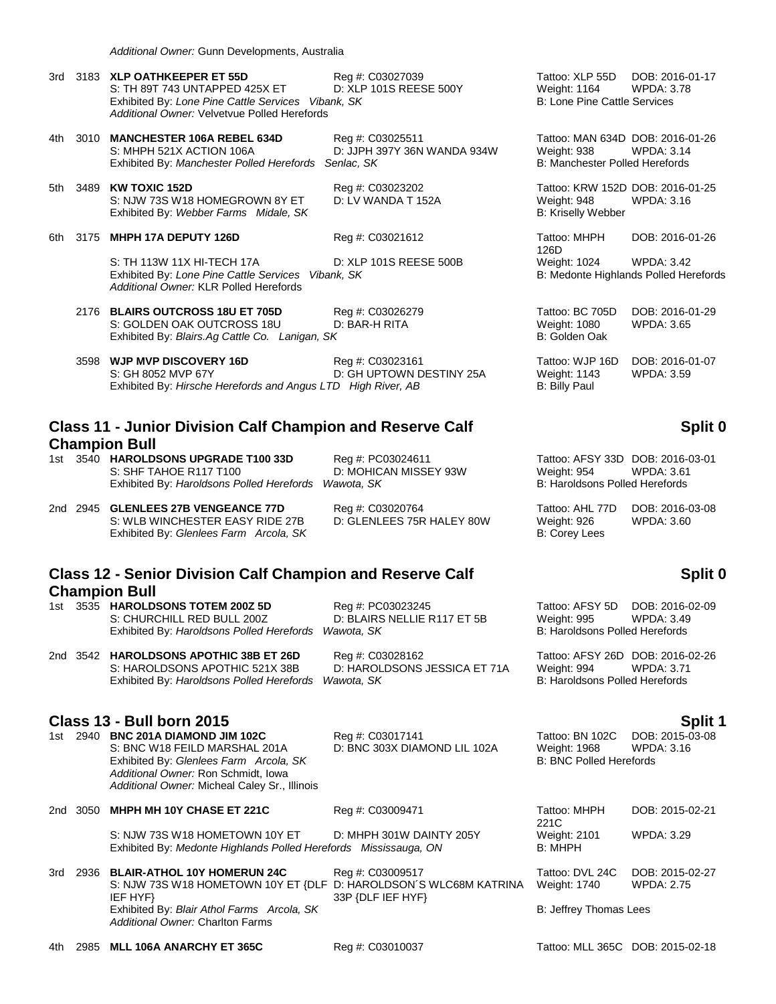*Additional Owner:* Gunn Developments, Australia

| 3rd - |      | 3183 XLP OATHKEEPER ET 55D<br>S: TH 89T 743 UNTAPPED 425X ET<br>Exhibited By: Lone Pine Cattle Services Vibank, SK<br>Additional Owner: Velvetvue Polled Herefords | Reg #: C03027039<br>D: XLP 101S REESE 500Y      | Tattoo: XLP 55D DOB: 2016-01-17<br>Weight: 1164<br><b>B: Lone Pine Cattle Services</b> | <b>WPDA: 3.78</b>                    |
|-------|------|--------------------------------------------------------------------------------------------------------------------------------------------------------------------|-------------------------------------------------|----------------------------------------------------------------------------------------|--------------------------------------|
| 4th   |      | 3010 MANCHESTER 106A REBEL 634D<br>S: MHPH 521X ACTION 106A<br>Exhibited By: Manchester Polled Herefords Senlac, SK                                                | Reg #: C03025511<br>D: JJPH 397Y 36N WANDA 934W | Tattoo: MAN 634D DOB: 2016-01-26<br>Weight: 938<br>B: Manchester Polled Herefords      | <b>WPDA: 3.14</b>                    |
| 5th   |      | 3489 KW TOXIC 152D<br>S: NJW 73S W18 HOMEGROWN 8Y ET<br>Exhibited By: Webber Farms Midale, SK                                                                      | Reg #: C03023202<br>D: LV WANDA T 152A          | Tattoo: KRW 152D DOB: 2016-01-25<br>Weight: 948<br><b>B: Kriselly Webber</b>           | <b>WPDA: 3.16</b>                    |
| 6th   | 3175 | MHPH 17A DEPUTY 126D                                                                                                                                               | Reg #: C03021612                                | Tattoo: MHPH<br>126D                                                                   | DOB: 2016-01-26                      |
|       |      | S: TH 113W 11X HI-TECH 17A<br>Exhibited By: Lone Pine Cattle Services<br>Additional Owner: KLR Polled Herefords                                                    | D: XLP 101S REESE 500B<br>Vibank, SK            | Weight: 1024<br>B: Medonte Highlands Polled Herefor                                    | <b>WPDA: 3.42</b>                    |
|       |      | 2176 BLAIRS OUTCROSS 18U ET 705D<br>S: GOLDEN OAK OUTCROSS 18U<br>Exhibited By: Blairs.Ag Cattle Co. Lanigan, SK                                                   | Reg #: C03026279<br>D: BAR-H RITA               | Tattoo: BC 705D<br>Weight: 1080<br>B: Golden Oak                                       | DOB: 2016-01-29<br><b>WPDA: 3.65</b> |
|       |      | 3598 WJP MVP DISCOVERY 16D<br>S: GH 8052 MVP 67Y<br>Exhibited By: Hirsche Herefords and Angus LTD High River, AB                                                   | Reg #: C03023161<br>D: GH UPTOWN DESTINY 25A    | Tattoo: WJP 16D<br>Weight: 1143<br>B: Billy Paul                                       | DOB: 2016-01-07<br><b>WPDA: 3.59</b> |

### **Class 11 - Junior Division Calf Champion and Reserve Calf Champion Bull**

1st 3540 **HAROLDSONS UPGRADE T100 33D** Reg #: PC03024611 Tattoo: AFSY 33D DOB: 2016-03-01 S: SHF TAHOE R117 T100 D: MOHICAN MISSEY 93W Weight: 954 WPDA: 3.61 Exhibited By: *Haroldsons Polled Herefords Wawota, SK* B: Haroldsons Polled Herefords

2nd 2945 **GLENLEES 27B VENGEANCE 77D** Reg #: C03020764 Tattoo: AHL 77D DOB: 2016-03-08 S: WLB WINCHESTER EASY RIDE 27B D: GLENLEES 75R HALEY 80W Weight: 926 WPDA: 3.60 Exhibited By: *Glenlees Farm Arcola, SK* B: Corey Lees

# **Class 12 - Senior Division Calf Champion and Reserve Calf Champion Bull**

| 1st | 3535 HAROLDSONS TOTEM 200Z 5D                        | Reg #: PC03023245     |
|-----|------------------------------------------------------|-----------------------|
|     | S: CHURCHILL RED BULL 200Z                           | D: BLAIRS NELLIE R117 |
|     | Exhibited By: Haroldsons Polled Herefords Wawota, SK |                       |
|     |                                                      |                       |

2nd 3542 **HAROLDSONS APOTHIC 38B ET 26D** Reg #: C03028162 Tattoo: AFSY 26D DOB: 2016-02-26 S: HAROLDSONS APOTHIC 521X 38B D: HAROLDSONS JESSICA ET 71A Weight: 994 WPDA: 3.71 Exhibited By: *Haroldsons Polled Herefords Wawota, SK* B: Haroldsons Polled Herefords

## **Class 13 - Bull born 2015 Split 1**

| 1st | 2940 BNC 201A DIAMOND JIM 102C                |      |
|-----|-----------------------------------------------|------|
|     | S: BNC W18 FEILD MARSHAL 201A                 | D: E |
|     | Exhibited By: Glenlees Farm Arcola, SK        |      |
|     | Additional Owner: Ron Schmidt, Iowa           |      |
|     | Additional Owner: Micheal Caley Sr., Illinois |      |
|     |                                               |      |

2nd 3050 **MHPH MH 10Y CHASE ET 221C** Reg #: C03009471 Tattoo: MHPH

SINC 303X DIAMOND LIL 102A Weight: 1968

S: NJW 73S W18 HOMETOWN 10Y ET D: MHPH 301W DAINTY 205Y Weight: 2101 WPDA: 3.29

- Exhibited By: *Medonte Highlands Polled Herefords Mississauga, ON* B: MHPH 3rd 2936 **BLAIR-ATHOL 10Y HOMERUN 24C** Reg #: C03009517 Tattoo: DVL 24C DOB: 2015-02-27
	- S: NJW 73S W18 HOMETOWN 10Y ET {DLF D: HAROLDSON´S WLC68M KATRINA IEF HYF} 33P {DLF IEF HYF} Exhibited By: *Blair Athol Farms Arcola, SK* B: Jeffrey Thomas Lees *Additional Owner:* Charlton Farms

4th 2985 **MLL 106A ANARCHY ET 365C** Reg #: C03010037 Tattoo: MLL 365C DOB: 2015-02-18

DOB: 2016-01-26 Polled Herefords

## **Split 0**

## **Split 0**

Tattoo: AFSY 5D DOB: 2016-02-09 ET 5B Weight: 995 WPDA: 3.49 B: Haroldsons Polled Herefords

1st 2940 **BNC 201A DIAMOND JIM 102C** Reg #: C03017141 Tattoo: BN 102C DOB: 2015-03-08 **B: BNC Polled Herefords** 

> 221C DOB: 2015-02-21

> Weight: 1740 WPDA: 2.75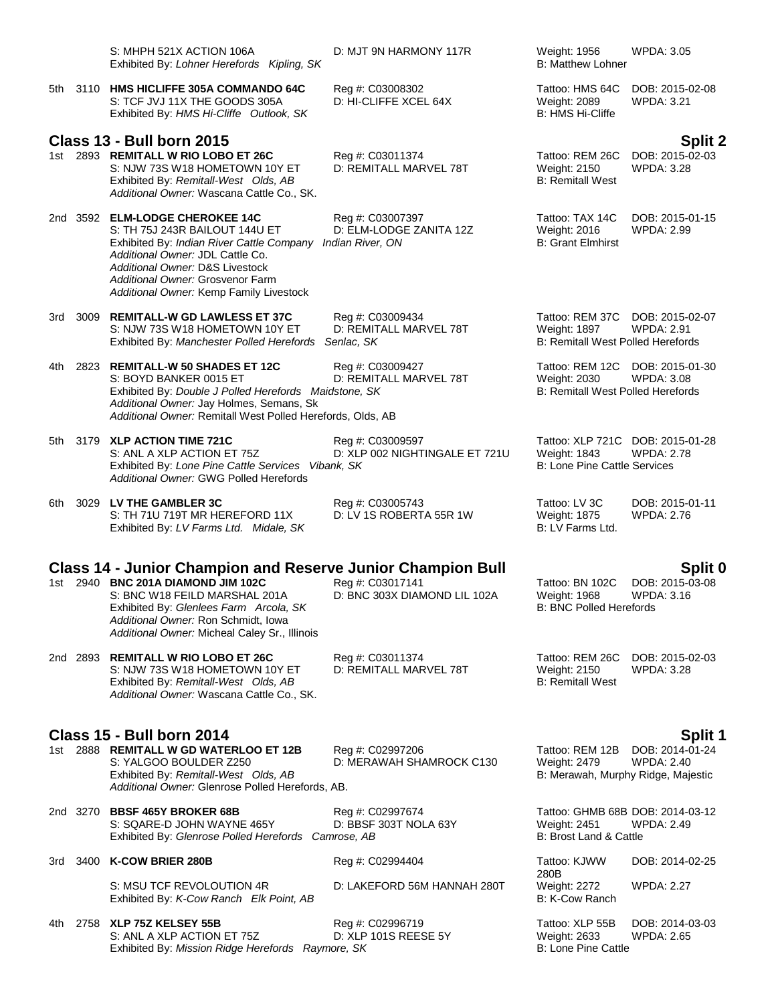|                                             |      | S: MHPH 521X ACTION 106A<br>Exhibited By: Lohner Herefords Kipling, SK                                                                                                                                                                                                      | D: MJT 9N HARMONY 117R                                          | Weight: 1956<br><b>B: Matthew Lohner</b>                                    | <b>WPDA: 3.05</b>                                     |  |
|---------------------------------------------|------|-----------------------------------------------------------------------------------------------------------------------------------------------------------------------------------------------------------------------------------------------------------------------------|-----------------------------------------------------------------|-----------------------------------------------------------------------------|-------------------------------------------------------|--|
|                                             |      | 5th 3110 HMS HICLIFFE 305A COMMANDO 64C<br>S: TCF JVJ 11X THE GOODS 305A<br>Exhibited By: HMS Hi-Cliffe Outlook, SK                                                                                                                                                         | Reg #: C03008302<br>D: HI-CLIFFE XCEL 64X                       | Tattoo: HMS 64C<br>Weight: 2089<br><b>B: HMS Hi-Cliffe</b>                  | DOB: 2015-02-08<br><b>WPDA: 3.21</b>                  |  |
|                                             |      | <b>Class 13 - Bull born 2015</b><br>1st 2893 REMITALL W RIO LOBO ET 26C<br>S: NJW 73S W18 HOMETOWN 10Y ET<br>Exhibited By: Remitall-West Olds, AB<br>Additional Owner: Wascana Cattle Co., SK.                                                                              | Reg #: C03011374<br>D: REMITALL MARVEL 78T                      | Tattoo: REM 26C<br><b>Weight: 2150</b><br><b>B: Remitall West</b>           | <b>Split 2</b><br>DOB: 2015-02-03<br>WPDA: 3.28       |  |
|                                             |      | 2nd 3592 ELM-LODGE CHEROKEE 14C<br>S: TH 75J 243R BAILOUT 144U ET<br>Exhibited By: Indian River Cattle Company<br>Additional Owner: JDL Cattle Co.<br>Additional Owner: D&S Livestock<br>Additional Owner: Grosvenor Farm<br>Additional Owner: Kemp Family Livestock        | Reg #: C03007397<br>D: ELM-LODGE ZANITA 12Z<br>Indian River, ON | Tattoo: TAX 14C<br>Weight: 2016<br><b>B: Grant Elmhirst</b>                 | DOB: 2015-01-15<br>WPDA: 2.99                         |  |
|                                             |      | 3rd 3009 REMITALL-W GD LAWLESS ET 37C<br>S: NJW 73S W18 HOMETOWN 10Y ET<br>Exhibited By: Manchester Polled Herefords                                                                                                                                                        | Reg #: C03009434<br>D: REMITALL MARVEL 78T<br>Senlac, SK        | Tattoo: REM 37C<br>Weight: 1897<br><b>B: Remitall West Polled Herefords</b> | DOB: 2015-02-07<br><b>WPDA: 2.91</b>                  |  |
| 4th                                         |      | 2823 REMITALL-W 50 SHADES ET 12C<br>S: BOYD BANKER 0015 ET<br>Exhibited By: Double J Polled Herefords Maidstone, SK<br>Additional Owner: Jay Holmes, Semans, Sk<br>Additional Owner: Remitall West Polled Herefords, Olds, AB                                               | Reg #: C03009427<br>D: REMITALL MARVEL 78T                      | Tattoo: REM 12C<br>Weight: 2030<br><b>B: Remitall West Polled Herefords</b> | DOB: 2015-01-30<br><b>WPDA: 3.08</b>                  |  |
| 5th                                         |      | 3179 XLP ACTION TIME 721C<br>S: ANL A XLP ACTION ET 75Z<br>Exhibited By: Lone Pine Cattle Services Vibank, SK<br>Additional Owner: GWG Polled Herefords                                                                                                                     | Reg #: C03009597<br>D: XLP 002 NIGHTINGALE ET 721U              | Weight: 1843<br><b>B: Lone Pine Cattle Services</b>                         | Tattoo: XLP 721C DOB: 2015-01-28<br><b>WPDA: 2.78</b> |  |
| 6th                                         |      | 3029 LV THE GAMBLER 3C<br>S: TH 71U 719T MR HEREFORD 11X<br>Exhibited By: LV Farms Ltd. Midale, SK                                                                                                                                                                          | Reg #: C03005743<br>D: LV 1S ROBERTA 55R 1W                     | Tattoo: LV 3C<br>Weight: 1875<br>B: LV Farms Ltd.                           | DOB: 2015-01-11<br><b>WPDA: 2.76</b>                  |  |
|                                             |      | <b>Class 14 - Junior Champion and Reserve Junior Champion Bull</b><br>1st 2940 BNC 201A DIAMOND JIM 102C<br>S: BNC W18 FEILD MARSHAL 201A<br>Exhibited By: Glenlees Farm Arcola, SK<br>Additional Owner: Ron Schmidt, Iowa<br>Additional Owner: Micheal Caley Sr., Illinois | Reg #: C03017141<br>D: BNC 303X DIAMOND LIL 102A                | Tattoo: BN 102C<br><b>Weight: 1968</b><br><b>B: BNC Polled Herefords</b>    | Split 0<br>DOB: 2015-03-08<br>WPDA: 3.16              |  |
|                                             |      | 2nd 2893 REMITALL W RIO LOBO ET 26C<br>S: NJW 73S W18 HOMETOWN 10Y ET<br>Exhibited By: Remitall-West Olds, AB<br>Additional Owner: Wascana Cattle Co., SK.                                                                                                                  | Reg #: C03011374<br>D: REMITALL MARVEL 78T                      | Tattoo: REM 26C<br>Weight: 2150<br><b>B: Remitall West</b>                  | DOB: 2015-02-03<br><b>WPDA: 3.28</b>                  |  |
| <b>Class 15 - Bull born 2014</b><br>Split 1 |      |                                                                                                                                                                                                                                                                             |                                                                 |                                                                             |                                                       |  |
|                                             |      | 1st 2888 REMITALL W GD WATERLOO ET 12B<br>S: YALGOO BOULDER Z250<br>Exhibited By: Remitall-West Olds, AB<br>Additional Owner: Glenrose Polled Herefords, AB.                                                                                                                | Reg #: C02997206<br>D: MERAWAH SHAMROCK C130                    | Tattoo: REM 12B<br>Weight: 2479<br>B: Merawah, Murphy Ridge, Majestic       | DOB: 2014-01-24<br><b>WPDA: 2.40</b>                  |  |
|                                             |      | 2nd 3270 BBSF 465Y BROKER 68B<br>S: SQARE-D JOHN WAYNE 465Y<br>Exhibited By: Glenrose Polled Herefords Camrose, AB                                                                                                                                                          | Reg #: C02997674<br>D: BBSF 303T NOLA 63Y                       | <b>Weight: 2451</b><br>B: Brost Land & Cattle                               | Tattoo: GHMB 68B DOB: 2014-03-12<br>WPDA: 2.49        |  |
| 3rd                                         | 3400 | <b>K-COW BRIER 280B</b>                                                                                                                                                                                                                                                     | Reg #: C02994404                                                | Tattoo: KJWW<br>280B                                                        | DOB: 2014-02-25                                       |  |
|                                             |      | S: MSU TCF REVOLOUTION 4R<br>Exhibited By: K-Cow Ranch Elk Point, AB                                                                                                                                                                                                        | D: LAKEFORD 56M HANNAH 280T                                     | <b>Weight: 2272</b><br>B: K-Cow Ranch                                       | WPDA: 2.27                                            |  |
| 4th.                                        |      | 2758 XLP 75Z KELSEY 55B<br>S: ANL A XLP ACTION ET 75Z<br>Exhibited By: Mission Ridge Herefords Raymore, SK                                                                                                                                                                  | Reg #: C02996719<br>D: XLP 101S REESE 5Y                        | Tattoo: XLP 55B<br>Weight: 2633<br><b>B: Lone Pine Cattle</b>               | DOB: 2014-03-03<br>WPDA: 2.65                         |  |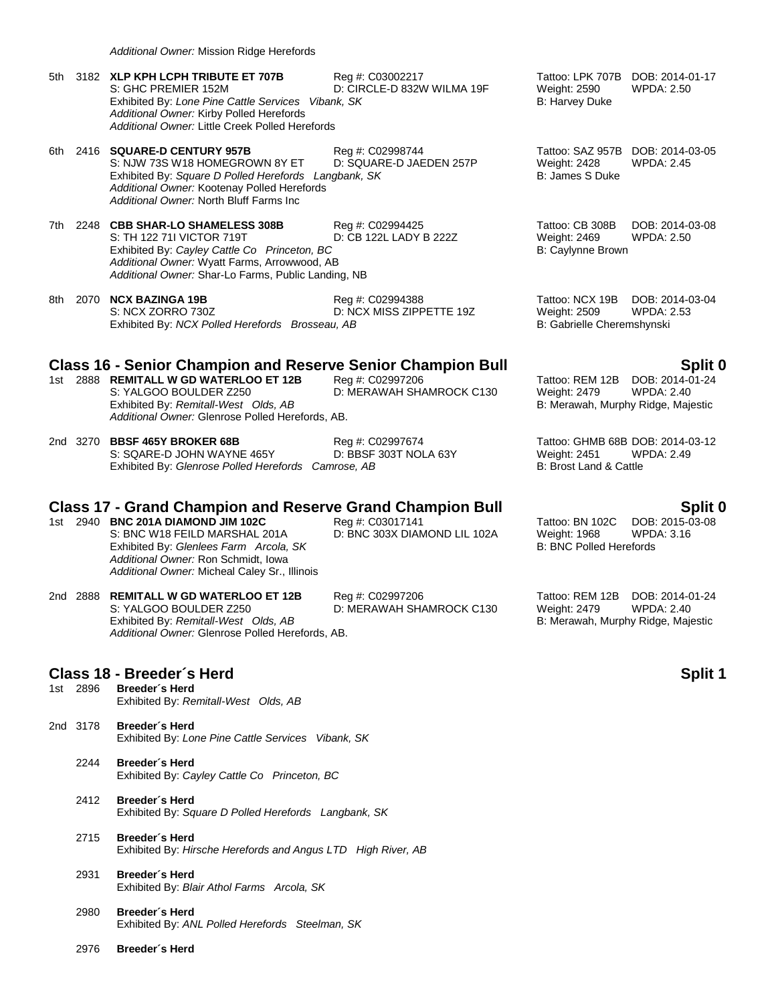2976 **Breeder´s Herd**

| 5th         | 3182 XLP KPH LCPH TRIBUTE ET 707B<br>S: GHC PREMIER 152M<br>Exhibited By: Lone Pine Cattle Services Vibank, SK<br>Additional Owner: Kirby Polled Herefords<br>Additional Owner: Little Creek Polled Herefords       | Reg #: C03002217<br>D: CIRCLE-D 832W WILMA 19F   | Weight: 2590<br>B: Harvey Duke                                               | Tattoo: LPK 707B DOB: 2014-01-17<br>WPDA: 2.50        |
|-------------|---------------------------------------------------------------------------------------------------------------------------------------------------------------------------------------------------------------------|--------------------------------------------------|------------------------------------------------------------------------------|-------------------------------------------------------|
| 6th         | 2416 SQUARE-D CENTURY 957B<br>S: NJW 73S W18 HOMEGROWN 8Y ET<br>Exhibited By: Square D Polled Herefords Langbank, SK<br>Additional Owner: Kootenay Polled Herefords<br>Additional Owner: North Bluff Farms Inc      | Reg #: C02998744<br>D: SQUARE-D JAEDEN 257P      | <b>Weight: 2428</b><br>B: James S Duke                                       | Tattoo: SAZ 957B DOB: 2014-03-05<br><b>WPDA: 2.45</b> |
| 7th         | 2248 CBB SHAR-LO SHAMELESS 308B<br>S: TH 122 711 VICTOR 719T<br>Exhibited By: Cayley Cattle Co Princeton, BC<br>Additional Owner: Wyatt Farms, Arrowwood, AB<br>Additional Owner: Shar-Lo Farms, Public Landing, NB | Reg #: C02994425<br>D: CB 122L LADY B 222Z       | Tattoo: CB 308B<br><b>Weight: 2469</b><br>B: Caylynne Brown                  | DOB: 2014-03-08<br><b>WPDA: 2.50</b>                  |
| 8th         | 2070 NCX BAZINGA 19B<br>S: NCX ZORRO 730Z<br>Exhibited By: NCX Polled Herefords Brosseau, AB                                                                                                                        | Reg #: C02994388<br>D: NCX MISS ZIPPETTE 19Z     | Tattoo: NCX 19B<br><b>Weight: 2509</b><br>B: Gabrielle Cheremshynski         | DOB: 2014-03-04<br><b>WPDA: 2.53</b>                  |
|             | <b>Class 16 - Senior Champion and Reserve Senior Champion Bull</b>                                                                                                                                                  |                                                  |                                                                              | Split 0                                               |
|             | 1st 2888 REMITALL W GD WATERLOO ET 12B<br>S: YALGOO BOULDER Z250<br>Exhibited By: Remitall-West Olds, AB<br>Additional Owner: Glenrose Polled Herefords, AB.                                                        | Reg #: C02997206<br>D: MERAWAH SHAMROCK C130     | Tattoo: REM 12B<br><b>Weight: 2479</b><br>B: Merawah, Murphy Ridge, Majestic | DOB: 2014-01-24<br><b>WPDA: 2.40</b>                  |
|             | 2nd 3270 BBSF 465Y BROKER 68B<br>S: SQARE-D JOHN WAYNE 465Y<br>Exhibited By: Glenrose Polled Herefords Camrose, AB                                                                                                  | Reg #: C02997674<br>D: BBSF 303T NOLA 63Y        | Weight: 2451<br>B: Brost Land & Cattle                                       | Tattoo: GHMB 68B DOB: 2014-03-12<br>WPDA: 2.49        |
|             | <b>Class 17 - Grand Champion and Reserve Grand Champion Bull</b>                                                                                                                                                    |                                                  |                                                                              | Split 0                                               |
|             | 1st 2940 BNC 201A DIAMOND JIM 102C<br>S: BNC W18 FEILD MARSHAL 201A<br>Exhibited By: Glenlees Farm Arcola, SK<br>Additional Owner: Ron Schmidt, Iowa<br>Additional Owner: Micheal Caley Sr., Illinois               | Reg #: C03017141<br>D: BNC 303X DIAMOND LIL 102A | Tattoo: BN 102C<br>Weight: 1968<br><b>B: BNC Polled Herefords</b>            | DOB: 2015-03-08<br><b>WPDA: 3.16</b>                  |
|             | 2nd 2888 REMITALL W GD WATERLOO ET 12B<br>S: YALGOO BOULDER Z250<br>Exhibited By: Remitall-West Olds, AB<br>Additional Owner: Glenrose Polled Herefords, AB.                                                        | Reg #: C02997206<br>D: MERAWAH SHAMROCK C130     | Tattoo: REM 12B<br>Weight: 2479<br>B: Merawah, Murphy Ridge, Majestic        | DOB: 2014-01-24<br><b>WPDA: 2.40</b>                  |
|             | Class 18 - Breeder's Herd                                                                                                                                                                                           |                                                  |                                                                              | <b>Split 1</b>                                        |
| 2896<br>1st | Breeder's Herd<br>Exhibited By: Remitall-West Olds, AB                                                                                                                                                              |                                                  |                                                                              |                                                       |
| 2nd 3178    | Breeder's Herd<br>Exhibited By: Lone Pine Cattle Services Vibank, SK                                                                                                                                                |                                                  |                                                                              |                                                       |
| 2244        | Breeder's Herd<br>Exhibited By: Cayley Cattle Co Princeton, BC                                                                                                                                                      |                                                  |                                                                              |                                                       |
| 2412        | Breeder's Herd<br>Exhibited By: Square D Polled Herefords Langbank, SK                                                                                                                                              |                                                  |                                                                              |                                                       |
| 2715        | Breeder's Herd<br>Exhibited By: Hirsche Herefords and Angus LTD High River, AB                                                                                                                                      |                                                  |                                                                              |                                                       |
| 2931        | Breeder's Herd<br>Exhibited By: Blair Athol Farms Arcola, SK                                                                                                                                                        |                                                  |                                                                              |                                                       |
| 2980        | Breeder's Herd<br>Exhibited By: ANL Polled Herefords Steelman, SK                                                                                                                                                   |                                                  |                                                                              |                                                       |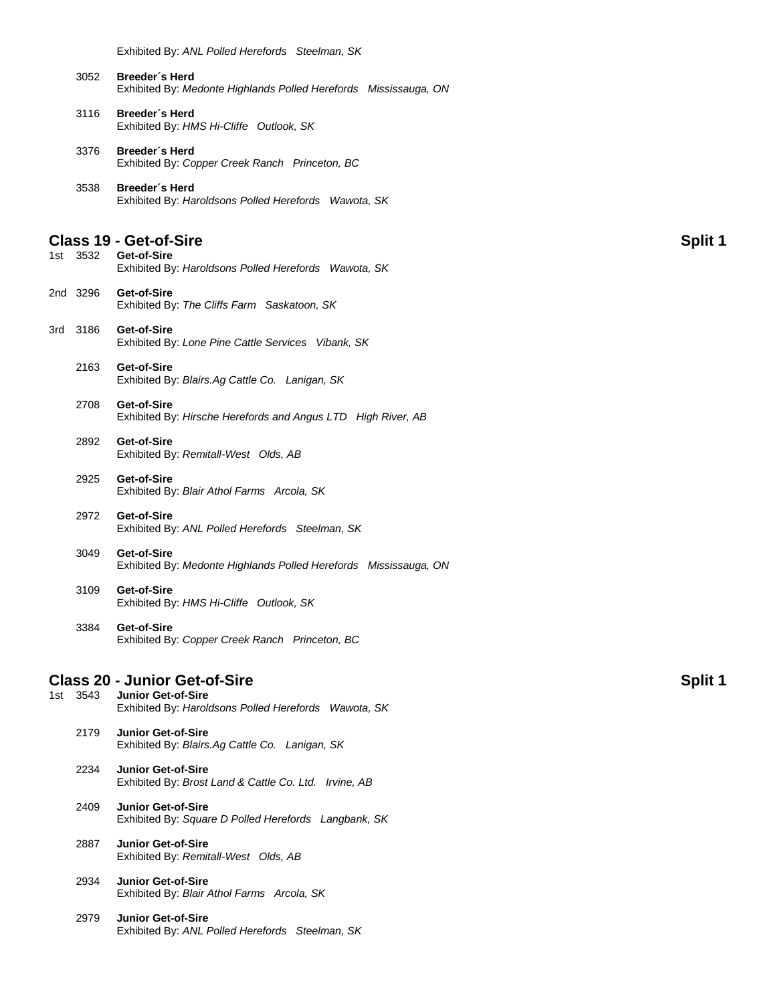Exhibited By: *ANL Polled Herefords Steelman, SK*

| 3052 | Breeder´s Herd                                                   |  |  |
|------|------------------------------------------------------------------|--|--|
|      | Exhibited By: Medonte Highlands Polled Herefords Mississauga, ON |  |  |

- 3116 **Breeder´s Herd** Exhibited By: *HMS Hi-Cliffe Outlook, SK*
- 3376 **Breeder´s Herd** Exhibited By: *Copper Creek Ranch Princeton, BC*
- 3538 **Breeder´s Herd** Exhibited By: *Haroldsons Polled Herefords Wawota, SK*

### **Class 19 - Get-of-Sire Split 1**

- 1st 3532 **Get-of-Sire** Exhibited By: *Haroldsons Polled Herefords Wawota, SK*
- 2nd 3296 **Get-of-Sire** Exhibited By: *The Cliffs Farm Saskatoon, SK*
- 3rd 3186 **Get-of-Sire** Exhibited By: *Lone Pine Cattle Services Vibank, SK*
	- 2163 **Get-of-Sire** Exhibited By: *Blairs.Ag Cattle Co. Lanigan, SK*
	- 2708 **Get-of-Sire** Exhibited By: *Hirsche Herefords and Angus LTD High River, AB*
	- 2892 **Get-of-Sire** Exhibited By: *Remitall-West Olds, AB*
	- 2925 **Get-of-Sire** Exhibited By: *Blair Athol Farms Arcola, SK*
	- 2972 **Get-of-Sire** Exhibited By: *ANL Polled Herefords Steelman, SK*
	- 3049 **Get-of-Sire** Exhibited By: *Medonte Highlands Polled Herefords Mississauga, ON*
	- 3109 **Get-of-Sire** Exhibited By: *HMS Hi-Cliffe Outlook, SK*
	- 3384 **Get-of-Sire** Exhibited By: *Copper Creek Ranch Princeton, BC*

### **Class 20 - Junior Get-of-Sire Split 1**

- 1st 3543 **Junior Get-of-Sire** Exhibited By: *Haroldsons Polled Herefords Wawota, SK* 2179 **Junior Get-of-Sire** Exhibited By: *Blairs.Ag Cattle Co. Lanigan, SK* 2234 **Junior Get-of-Sire** Exhibited By: *Brost Land & Cattle Co. Ltd. Irvine, AB* 2409 **Junior Get-of-Sire** Exhibited By: *Square D Polled Herefords Langbank, SK* 2887 **Junior Get-of-Sire** Exhibited By: *Remitall-West Olds, AB*
	- 2934 **Junior Get-of-Sire** Exhibited By: *Blair Athol Farms Arcola, SK*
	- 2979 **Junior Get-of-Sire** Exhibited By: *ANL Polled Herefords Steelman, SK*